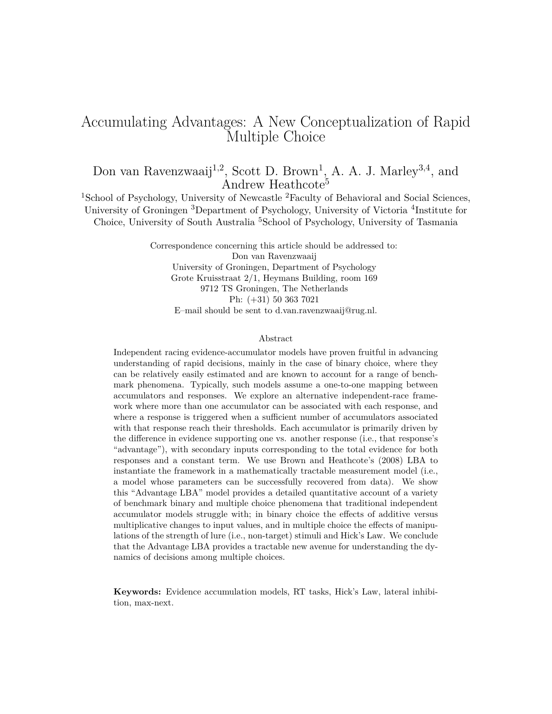# Accumulating Advantages: A New Conceptualization of Rapid Multiple Choice

# Don van Ravenzwaaij<sup>1,2</sup>, Scott D. Brown<sup>1</sup>, A. A. J. Marley<sup>3,4</sup>, and Andrew Heathcote<sup>5</sup>

<sup>1</sup>School of Psychology, University of Newcastle <sup>2</sup>Faculty of Behavioral and Social Sciences, University of Groningen <sup>3</sup>Department of Psychology, University of Victoria <sup>4</sup>Institute for Choice, University of South Australia <sup>5</sup>School of Psychology, University of Tasmania

> Correspondence concerning this article should be addressed to: Don van Ravenzwaaij University of Groningen, Department of Psychology Grote Kruisstraat 2/1, Heymans Building, room 169 9712 TS Groningen, The Netherlands Ph: (+31) 50 363 7021 E–mail should be sent to d.van.ravenzwaaij@rug.nl.

## Abstract

Independent racing evidence-accumulator models have proven fruitful in advancing understanding of rapid decisions, mainly in the case of binary choice, where they can be relatively easily estimated and are known to account for a range of benchmark phenomena. Typically, such models assume a one-to-one mapping between accumulators and responses. We explore an alternative independent-race framework where more than one accumulator can be associated with each response, and where a response is triggered when a sufficient number of accumulators associated with that response reach their thresholds. Each accumulator is primarily driven by the difference in evidence supporting one vs. another response (i.e., that response's "advantage"), with secondary inputs corresponding to the total evidence for both responses and a constant term. We use Brown and Heathcote's (2008) LBA to instantiate the framework in a mathematically tractable measurement model (i.e., a model whose parameters can be successfully recovered from data). We show this "Advantage LBA" model provides a detailed quantitative account of a variety of benchmark binary and multiple choice phenomena that traditional independent accumulator models struggle with; in binary choice the effects of additive versus multiplicative changes to input values, and in multiple choice the effects of manipulations of the strength of lure (i.e., non-target) stimuli and Hick's Law. We conclude that the Advantage LBA provides a tractable new avenue for understanding the dynamics of decisions among multiple choices.

**Keywords:** Evidence accumulation models, RT tasks, Hick's Law, lateral inhibition, max-next.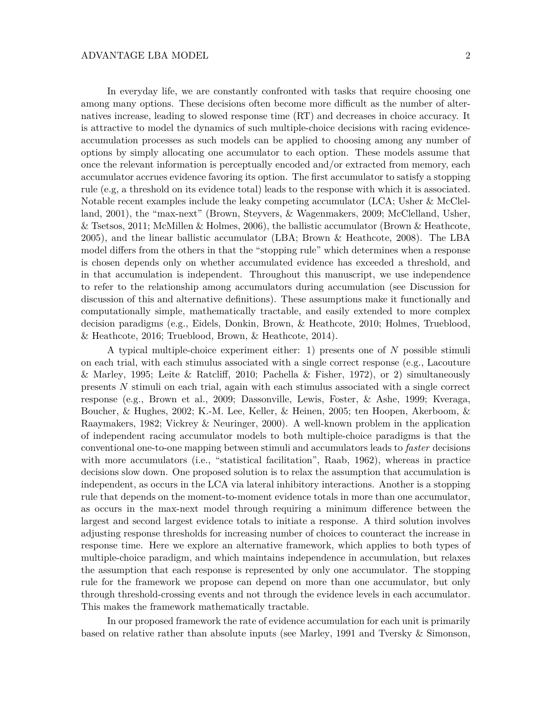In everyday life, we are constantly confronted with tasks that require choosing one among many options. These decisions often become more difficult as the number of alternatives increase, leading to slowed response time (RT) and decreases in choice accuracy. It is attractive to model the dynamics of such multiple-choice decisions with racing evidenceaccumulation processes as such models can be applied to choosing among any number of options by simply allocating one accumulator to each option. These models assume that once the relevant information is perceptually encoded and/or extracted from memory, each accumulator accrues evidence favoring its option. The first accumulator to satisfy a stopping rule (e.g, a threshold on its evidence total) leads to the response with which it is associated. Notable recent examples include the leaky competing accumulator (LCA; Usher & McClelland, 2001), the "max-next" (Brown, Steyvers, & Wagenmakers, 2009; McClelland, Usher, & Tsetsos, 2011; McMillen & Holmes, 2006), the ballistic accumulator (Brown & Heathcote, 2005), and the linear ballistic accumulator (LBA; Brown & Heathcote, 2008). The LBA model differs from the others in that the "stopping rule" which determines when a response is chosen depends only on whether accumulated evidence has exceeded a threshold, and in that accumulation is independent. Throughout this manuscript, we use independence to refer to the relationship among accumulators during accumulation (see Discussion for discussion of this and alternative definitions). These assumptions make it functionally and computationally simple, mathematically tractable, and easily extended to more complex decision paradigms (e.g., Eidels, Donkin, Brown, & Heathcote, 2010; Holmes, Trueblood, & Heathcote, 2016; Trueblood, Brown, & Heathcote, 2014).

A typical multiple-choice experiment either: 1) presents one of *N* possible stimuli on each trial, with each stimulus associated with a single correct response (e.g., Lacouture & Marley, 1995; Leite & Ratcliff, 2010; Pachella & Fisher, 1972), or 2) simultaneously presents *N* stimuli on each trial, again with each stimulus associated with a single correct response (e.g., Brown et al., 2009; Dassonville, Lewis, Foster, & Ashe, 1999; Kveraga, Boucher, & Hughes, 2002; K.-M. Lee, Keller, & Heinen, 2005; ten Hoopen, Akerboom, & Raaymakers, 1982; Vickrey & Neuringer, 2000). A well-known problem in the application of independent racing accumulator models to both multiple-choice paradigms is that the conventional one-to-one mapping between stimuli and accumulators leads to *faster* decisions with more accumulators (i.e., "statistical facilitation", Raab, 1962), whereas in practice decisions slow down. One proposed solution is to relax the assumption that accumulation is independent, as occurs in the LCA via lateral inhibitory interactions. Another is a stopping rule that depends on the moment-to-moment evidence totals in more than one accumulator, as occurs in the max-next model through requiring a minimum difference between the largest and second largest evidence totals to initiate a response. A third solution involves adjusting response thresholds for increasing number of choices to counteract the increase in response time. Here we explore an alternative framework, which applies to both types of multiple-choice paradigm, and which maintains independence in accumulation, but relaxes the assumption that each response is represented by only one accumulator. The stopping rule for the framework we propose can depend on more than one accumulator, but only through threshold-crossing events and not through the evidence levels in each accumulator. This makes the framework mathematically tractable.

In our proposed framework the rate of evidence accumulation for each unit is primarily based on relative rather than absolute inputs (see Marley, 1991 and Tversky & Simonson,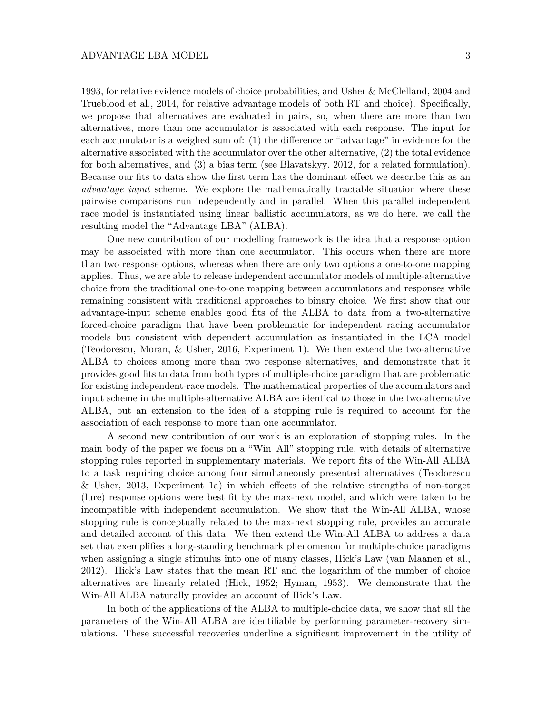1993, for relative evidence models of choice probabilities, and Usher & McClelland, 2004 and Trueblood et al., 2014, for relative advantage models of both RT and choice). Specifically, we propose that alternatives are evaluated in pairs, so, when there are more than two alternatives, more than one accumulator is associated with each response. The input for each accumulator is a weighed sum of: (1) the difference or "advantage" in evidence for the alternative associated with the accumulator over the other alternative, (2) the total evidence for both alternatives, and (3) a bias term (see Blavatskyy, 2012, for a related formulation). Because our fits to data show the first term has the dominant effect we describe this as an *advantage input* scheme. We explore the mathematically tractable situation where these pairwise comparisons run independently and in parallel. When this parallel independent race model is instantiated using linear ballistic accumulators, as we do here, we call the resulting model the "Advantage LBA" (ALBA).

One new contribution of our modelling framework is the idea that a response option may be associated with more than one accumulator. This occurs when there are more than two response options, whereas when there are only two options a one-to-one mapping applies. Thus, we are able to release independent accumulator models of multiple-alternative choice from the traditional one-to-one mapping between accumulators and responses while remaining consistent with traditional approaches to binary choice. We first show that our advantage-input scheme enables good fits of the ALBA to data from a two-alternative forced-choice paradigm that have been problematic for independent racing accumulator models but consistent with dependent accumulation as instantiated in the LCA model (Teodorescu, Moran, & Usher, 2016, Experiment 1). We then extend the two-alternative ALBA to choices among more than two response alternatives, and demonstrate that it provides good fits to data from both types of multiple-choice paradigm that are problematic for existing independent-race models. The mathematical properties of the accumulators and input scheme in the multiple-alternative ALBA are identical to those in the two-alternative ALBA, but an extension to the idea of a stopping rule is required to account for the association of each response to more than one accumulator.

A second new contribution of our work is an exploration of stopping rules. In the main body of the paper we focus on a "Win–All" stopping rule, with details of alternative stopping rules reported in supplementary materials. We report fits of the Win-All ALBA to a task requiring choice among four simultaneously presented alternatives (Teodorescu & Usher, 2013, Experiment 1a) in which effects of the relative strengths of non-target (lure) response options were best fit by the max-next model, and which were taken to be incompatible with independent accumulation. We show that the Win-All ALBA, whose stopping rule is conceptually related to the max-next stopping rule, provides an accurate and detailed account of this data. We then extend the Win-All ALBA to address a data set that exemplifies a long-standing benchmark phenomenon for multiple-choice paradigms when assigning a single stimulus into one of many classes, Hick's Law (van Maanen et al., 2012). Hick's Law states that the mean RT and the logarithm of the number of choice alternatives are linearly related (Hick, 1952; Hyman, 1953). We demonstrate that the Win-All ALBA naturally provides an account of Hick's Law.

In both of the applications of the ALBA to multiple-choice data, we show that all the parameters of the Win-All ALBA are identifiable by performing parameter-recovery simulations. These successful recoveries underline a significant improvement in the utility of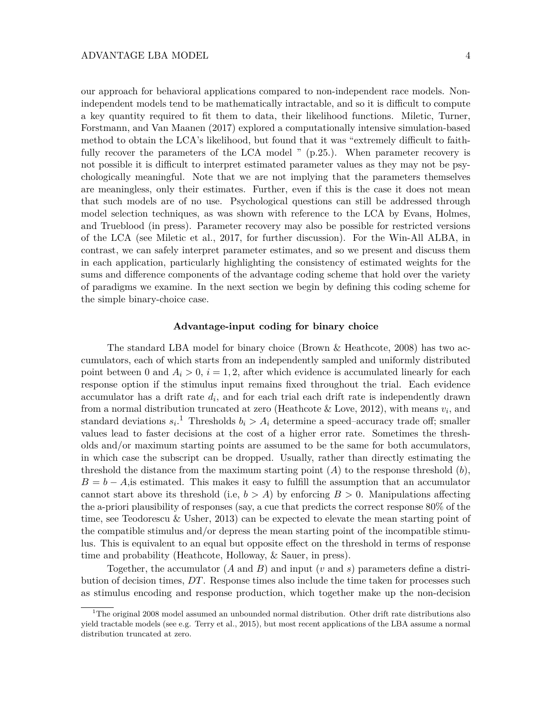our approach for behavioral applications compared to non-independent race models. Nonindependent models tend to be mathematically intractable, and so it is difficult to compute a key quantity required to fit them to data, their likelihood functions. Miletic, Turner, Forstmann, and Van Maanen (2017) explored a computationally intensive simulation-based method to obtain the LCA's likelihood, but found that it was "extremely difficult to faithfully recover the parameters of the LCA model " (p.25.). When parameter recovery is not possible it is difficult to interpret estimated parameter values as they may not be psychologically meaningful. Note that we are not implying that the parameters themselves are meaningless, only their estimates. Further, even if this is the case it does not mean that such models are of no use. Psychological questions can still be addressed through model selection techniques, as was shown with reference to the LCA by Evans, Holmes, and Trueblood (in press). Parameter recovery may also be possible for restricted versions of the LCA (see Miletic et al., 2017, for further discussion). For the Win-All ALBA, in contrast, we can safely interpret parameter estimates, and so we present and discuss them in each application, particularly highlighting the consistency of estimated weights for the sums and difference components of the advantage coding scheme that hold over the variety of paradigms we examine. In the next section we begin by defining this coding scheme for the simple binary-choice case.

## **Advantage-input coding for binary choice**

The standard LBA model for binary choice (Brown & Heathcote, 2008) has two accumulators, each of which starts from an independently sampled and uniformly distributed point between 0 and  $A_i > 0$ ,  $i = 1, 2$ , after which evidence is accumulated linearly for each response option if the stimulus input remains fixed throughout the trial. Each evidence accumulator has a drift rate *d<sup>i</sup>* , and for each trial each drift rate is independently drawn from a normal distribution truncated at zero (Heathcote & Love, 2012), with means  $v_i$ , and standard deviations  $s_i$ <sup>1</sup>. Thresholds  $b_i > A_i$  determine a speed–accuracy trade off; smaller values lead to faster decisions at the cost of a higher error rate. Sometimes the thresholds and/or maximum starting points are assumed to be the same for both accumulators, in which case the subscript can be dropped. Usually, rather than directly estimating the threshold the distance from the maximum starting point (*A*) to the response threshold (*b*),  $B = b - A$ , is estimated. This makes it easy to fulfill the assumption that an accumulator cannot start above its threshold (i.e,  $b > A$ ) by enforcing  $B > 0$ . Manipulations affecting the a-priori plausibility of responses (say, a cue that predicts the correct response 80% of the time, see Teodorescu & Usher, 2013) can be expected to elevate the mean starting point of the compatible stimulus and/or depress the mean starting point of the incompatible stimulus. This is equivalent to an equal but opposite effect on the threshold in terms of response time and probability (Heathcote, Holloway, & Sauer, in press).

Together, the accumulator (*A* and *B*) and input (*v* and *s*) parameters define a distribution of decision times, *DT*. Response times also include the time taken for processes such as stimulus encoding and response production, which together make up the non-decision

<sup>&</sup>lt;sup>1</sup>The original 2008 model assumed an unbounded normal distribution. Other drift rate distributions also yield tractable models (see e.g. Terry et al., 2015), but most recent applications of the LBA assume a normal distribution truncated at zero.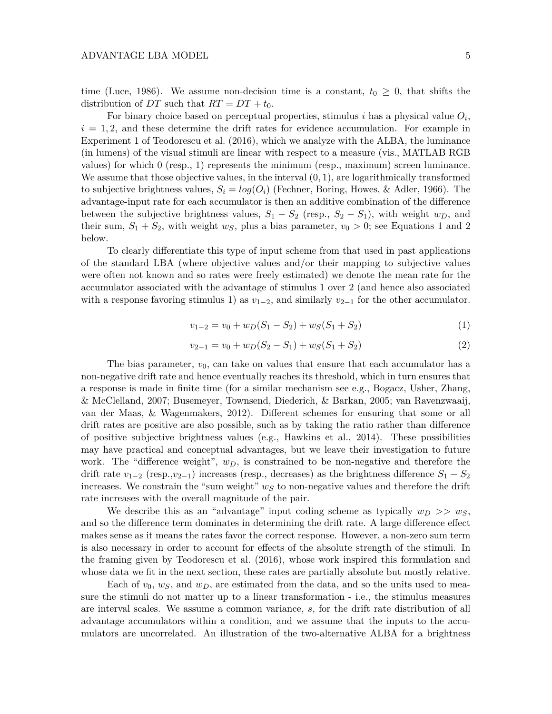time (Luce, 1986). We assume non-decision time is a constant,  $t_0 \geq 0$ , that shifts the distribution of *DT* such that  $RT = DT + t_0$ .

For binary choice based on perceptual properties, stimulus *i* has a physical value *O<sup>i</sup>* ,  $i = 1, 2$ , and these determine the drift rates for evidence accumulation. For example in Experiment 1 of Teodorescu et al. (2016), which we analyze with the ALBA, the luminance (in lumens) of the visual stimuli are linear with respect to a measure (vis., MATLAB RGB values) for which 0 (resp., 1) represents the minimum (resp., maximum) screen luminance. We assume that those objective values, in the interval (0*,* 1), are logarithmically transformed to subjective brightness values,  $S_i = log(O_i)$  (Fechner, Boring, Howes, & Adler, 1966). The advantage-input rate for each accumulator is then an additive combination of the difference between the subjective brightness values,  $S_1 - S_2$  (resp.,  $S_2 - S_1$ ), with weight  $w_D$ , and their sum,  $S_1 + S_2$ , with weight  $w_S$ , plus a bias parameter,  $v_0 > 0$ ; see Equations 1 and 2 below.

To clearly differentiate this type of input scheme from that used in past applications of the standard LBA (where objective values and/or their mapping to subjective values were often not known and so rates were freely estimated) we denote the mean rate for the accumulator associated with the advantage of stimulus 1 over 2 (and hence also associated with a response favoring stimulus 1) as  $v_{1-2}$ , and similarly  $v_{2-1}$  for the other accumulator.

$$
v_{1-2} = v_0 + w_D(S_1 - S_2) + w_S(S_1 + S_2)
$$
\n<sup>(1)</sup>

$$
v_{2-1} = v_0 + w_D(S_2 - S_1) + w_S(S_1 + S_2)
$$
\n<sup>(2)</sup>

The bias parameter,  $v_0$ , can take on values that ensure that each accumulator has a non-negative drift rate and hence eventually reaches its threshold, which in turn ensures that a response is made in finite time (for a similar mechanism see e.g., Bogacz, Usher, Zhang, & McClelland, 2007; Busemeyer, Townsend, Diederich, & Barkan, 2005; van Ravenzwaaij, van der Maas, & Wagenmakers, 2012). Different schemes for ensuring that some or all drift rates are positive are also possible, such as by taking the ratio rather than difference of positive subjective brightness values (e.g., Hawkins et al., 2014). These possibilities may have practical and conceptual advantages, but we leave their investigation to future work. The "difference weight",  $w_D$ , is constrained to be non-negative and therefore the drift rate *v*1−<sup>2</sup> (resp.,*v*2−1) increases (resp., decreases) as the brightness difference *S*<sup>1</sup> − *S*<sup>2</sup> increases. We constrain the "sum weight" *w<sup>S</sup>* to non-negative values and therefore the drift rate increases with the overall magnitude of the pair.

We describe this as an "advantage" input coding scheme as typically  $w_D \gg w_S$ , and so the difference term dominates in determining the drift rate. A large difference effect makes sense as it means the rates favor the correct response. However, a non-zero sum term is also necessary in order to account for effects of the absolute strength of the stimuli. In the framing given by Teodorescu et al. (2016), whose work inspired this formulation and whose data we fit in the next section, these rates are partially absolute but mostly relative.

Each of  $v_0$ ,  $w_S$ , and  $w_D$ , are estimated from the data, and so the units used to measure the stimuli do not matter up to a linear transformation - i.e., the stimulus measures are interval scales. We assume a common variance, *s*, for the drift rate distribution of all advantage accumulators within a condition, and we assume that the inputs to the accumulators are uncorrelated. An illustration of the two-alternative ALBA for a brightness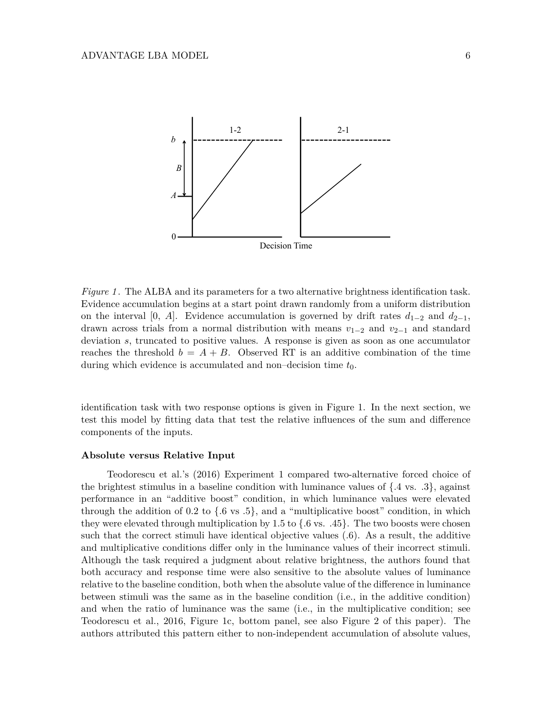

*Figure 1*. The ALBA and its parameters for a two alternative brightness identification task. Evidence accumulation begins at a start point drawn randomly from a uniform distribution on the interval [0, *A*]. Evidence accumulation is governed by drift rates  $d_{1-2}$  and  $d_{2-1}$ , drawn across trials from a normal distribution with means *v*1−<sup>2</sup> and *v*2−<sup>1</sup> and standard deviation *s*, truncated to positive values. A response is given as soon as one accumulator reaches the threshold  $b = A + B$ . Observed RT is an additive combination of the time during which evidence is accumulated and non–decision time *t*0.

identification task with two response options is given in Figure 1. In the next section, we test this model by fitting data that test the relative influences of the sum and difference components of the inputs.

#### **Absolute versus Relative Input**

Teodorescu et al.'s (2016) Experiment 1 compared two-alternative forced choice of the brightest stimulus in a baseline condition with luminance values of  $\{.4 \text{ vs. } .3\}$ , against performance in an "additive boost" condition, in which luminance values were elevated through the addition of 0.2 to  $\{0.6 \text{ vs } 0.5\}$ , and a "multiplicative boost" condition, in which they were elevated through multiplication by 1.5 to  $\{0.6 \text{ vs. } 0.45\}$ . The two boosts were chosen such that the correct stimuli have identical objective values (.6). As a result, the additive and multiplicative conditions differ only in the luminance values of their incorrect stimuli. Although the task required a judgment about relative brightness, the authors found that both accuracy and response time were also sensitive to the absolute values of luminance relative to the baseline condition, both when the absolute value of the difference in luminance between stimuli was the same as in the baseline condition (i.e., in the additive condition) and when the ratio of luminance was the same (i.e., in the multiplicative condition; see Teodorescu et al., 2016, Figure 1c, bottom panel, see also Figure 2 of this paper). The authors attributed this pattern either to non-independent accumulation of absolute values,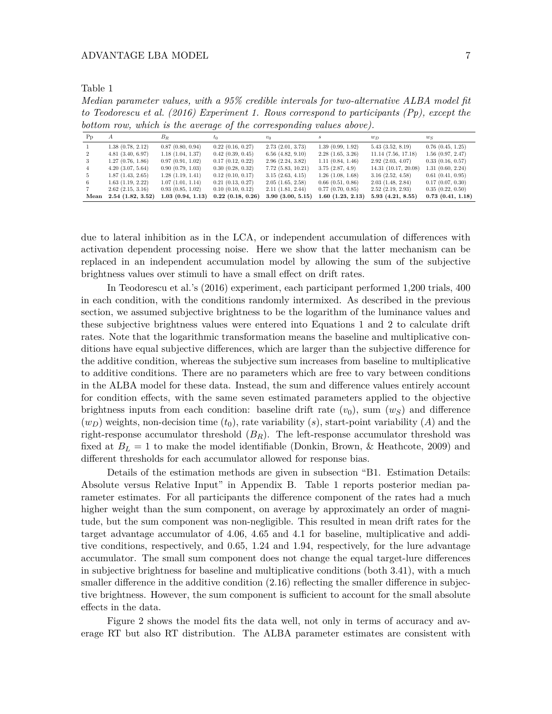Table 1

*Median parameter values, with a 95% credible intervals for two-alternative ALBA model fit to Teodorescu et al. (2016) Experiment 1. Rows correspond to participants (Pp), except the bottom row, which is the average of the corresponding values above).*

| $P_{p}$        | А                     | $B_R$            | tο                    | $v_0$                 | s                     | $w_D$                   | $w_S$                 |
|----------------|-----------------------|------------------|-----------------------|-----------------------|-----------------------|-------------------------|-----------------------|
|                | 1.38(0.78, 2.12)      | 0.87(0.80, 0.94) | $0.22$ $(0.16, 0.27)$ | $2.73$ $(2.01, 3.73)$ | 1.39(0.99, 1.92)      | 5.43(3.52, 8.19)        | $0.76$ $(0.45, 1.25)$ |
| $\overline{2}$ | $4.81$ $(3.40, 6.97)$ | 1.18(1.04, 1.37) | 0.42(0.39, 0.45)      | $6.56$ $(4.82, 9.10)$ | 2.28(1.65, 3.26)      | $11.14$ $(7.56, 17.18)$ | 1.56(0.97, 2.47)      |
| 3              | 1.27(0.76, 1.86)      | 0.97(0.91, 1.02) | 0.17(0.12, 0.22)      | 2.96(2.24, 3.82)      | 1.11(0.84, 1.46)      | 2.92(2.03, 4.07)        | 0.33(0.16, 0.57)      |
| $\overline{4}$ | $4.20$ $(3.07, 5.64)$ | 0.90(0.79, 1.03) | 0.30(0.28, 0.32)      | 7.72(5.83, 10.21)     | 3.75(2.87, 4.9)       | 14.31 (10.17, 20.08)    | 1.31(0.60, 2.24)      |
| 5.             | $1.87$ $(1.43, 2.65)$ | 1.28(1.19, 1.41) | $0.12$ $(0.10, 0.17)$ | 3.15(2.63, 4.15)      | $1.26$ $(1.08, 1.68)$ | $3.16$ $(2.52, 4.58)$   | 0.61(0.41, 0.95)      |
| 6              | $1.63$ $(1.19, 2.22)$ | 1.07(1.01, 1.14) | $0.21$ $(0.13, 0.27)$ | 2.05(1.65, 2.58)      | 0.66(0.51, 0.86)      | 2.03(1.48, 2.84)        | 0.17(0.07, 0.30)      |
|                | $2.62$ $(2.15, 3.16)$ | 0.93(0.85, 1.02) | 0.10(0.10, 0.12)      | 2.11(1.81, 2.44)      | 0.77(0.70, 0.85)      | $2.52$ $(2.19, 2.93)$   | 0.35(0.22, 0.50)      |
| Mean           | 2.54(1.82, 3.52)      | 1.03(0.94, 1.13) | 0.22(0.18, 0.26)      | 3.90(3.00, 5.15)      | 1.60(1.23, 2.13)      | 5.93(4.21, 8.55)        | $0.73$ $(0.41, 1.18)$ |

due to lateral inhibition as in the LCA, or independent accumulation of differences with activation dependent processing noise. Here we show that the latter mechanism can be replaced in an independent accumulation model by allowing the sum of the subjective brightness values over stimuli to have a small effect on drift rates.

In Teodorescu et al.'s (2016) experiment, each participant performed 1,200 trials, 400 in each condition, with the conditions randomly intermixed. As described in the previous section, we assumed subjective brightness to be the logarithm of the luminance values and these subjective brightness values were entered into Equations 1 and 2 to calculate drift rates. Note that the logarithmic transformation means the baseline and multiplicative conditions have equal subjective differences, which are larger than the subjective difference for the additive condition, whereas the subjective sum increases from baseline to multiplicative to additive conditions. There are no parameters which are free to vary between conditions in the ALBA model for these data. Instead, the sum and difference values entirely account for condition effects, with the same seven estimated parameters applied to the objective brightness inputs from each condition: baseline drift rate  $(v_0)$ , sum  $(w_S)$  and difference  $(w_D)$  weights, non-decision time  $(t_0)$ , rate variability  $(s)$ , start-point variability  $(A)$  and the right-response accumulator threshold (*BR*). The left-response accumulator threshold was fixed at  $B_L = 1$  to make the model identifiable (Donkin, Brown, & Heathcote, 2009) and different thresholds for each accumulator allowed for response bias.

Details of the estimation methods are given in subsection "B1. Estimation Details: Absolute versus Relative Input" in Appendix B. Table 1 reports posterior median parameter estimates. For all participants the difference component of the rates had a much higher weight than the sum component, on average by approximately an order of magnitude, but the sum component was non-negligible. This resulted in mean drift rates for the target advantage accumulator of 4.06, 4.65 and 4.1 for baseline, multiplicative and additive conditions, respectively, and 0.65, 1.24 and 1.94, respectively, for the lure advantage accumulator. The small sum component does not change the equal target-lure differences in subjective brightness for baseline and multiplicative conditions (both 3.41), with a much smaller difference in the additive condition  $(2.16)$  reflecting the smaller difference in subjective brightness. However, the sum component is sufficient to account for the small absolute effects in the data.

Figure 2 shows the model fits the data well, not only in terms of accuracy and average RT but also RT distribution. The ALBA parameter estimates are consistent with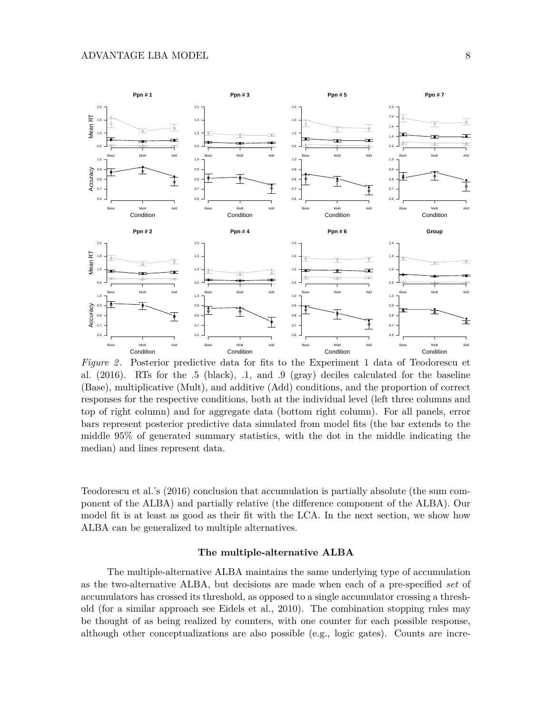

*Figure 2* . Posterior predictive data for fits to the Experiment 1 data of Teodorescu et al. (2016). RTs for the .5 (black), .1, and .9 (gray) deciles calculated for the baseline (Base), multiplicative (Mult), and additive (Add) conditions, and the proportion of correct responses for the respective conditions, both at the individual level (left three columns and top of right column) and for aggregate data (bottom right column). For all panels, error bars represent posterior predictive data simulated from model fits (the bar extends to the middle 95% of generated summary statistics, with the dot in the middle indicating the median) and lines represent data.

Teodorescu et al.'s (2016) conclusion that accumulation is partially absolute (the sum component of the ALBA) and partially relative (the difference component of the ALBA). Our model fit is at least as good as their fit with the LCA. In the next section, we show how ALBA can be generalized to multiple alternatives.

## **The multiple-alternative ALBA**

The multiple-alternative ALBA maintains the same underlying type of accumulation as the two-alternative ALBA, but decisions are made when each of a pre-specified *set* of accumulators has crossed its threshold, as opposed to a single accumulator crossing a threshold (for a similar approach see Eidels et al., 2010). The combination stopping rules may be thought of as being realized by counters, with one counter for each possible response, although other conceptualizations are also possible (e.g., logic gates). Counts are incre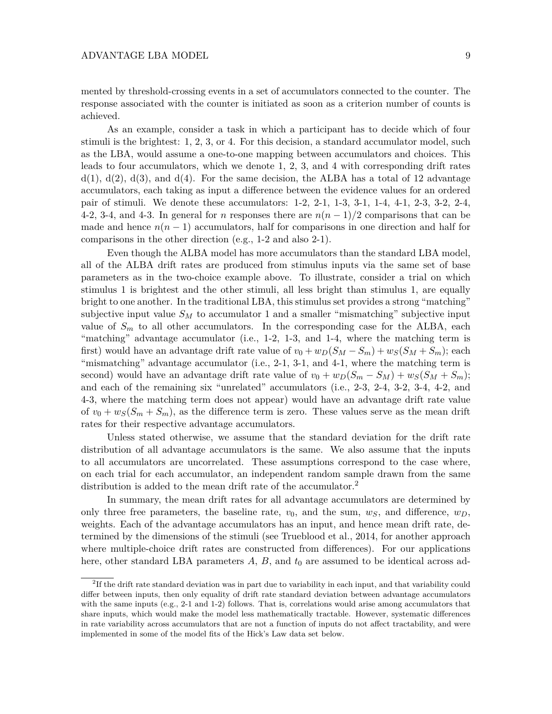mented by threshold-crossing events in a set of accumulators connected to the counter. The response associated with the counter is initiated as soon as a criterion number of counts is achieved.

As an example, consider a task in which a participant has to decide which of four stimuli is the brightest: 1, 2, 3, or 4. For this decision, a standard accumulator model, such as the LBA, would assume a one-to-one mapping between accumulators and choices. This leads to four accumulators, which we denote 1, 2, 3, and 4 with corresponding drift rates  $d(1)$ ,  $d(2)$ ,  $d(3)$ , and  $d(4)$ . For the same decision, the ALBA has a total of 12 advantage accumulators, each taking as input a difference between the evidence values for an ordered pair of stimuli. We denote these accumulators: 1-2, 2-1, 1-3, 3-1, 1-4, 4-1, 2-3, 3-2, 2-4, 4-2, 3-4, and 4-3. In general for *n* responses there are  $n(n-1)/2$  comparisons that can be made and hence  $n(n-1)$  accumulators, half for comparisons in one direction and half for comparisons in the other direction (e.g., 1-2 and also 2-1).

Even though the ALBA model has more accumulators than the standard LBA model, all of the ALBA drift rates are produced from stimulus inputs via the same set of base parameters as in the two-choice example above. To illustrate, consider a trial on which stimulus 1 is brightest and the other stimuli, all less bright than stimulus 1, are equally bright to one another. In the traditional LBA, this stimulus set provides a strong "matching" subjective input value  $S_M$  to accumulator 1 and a smaller "mismatching" subjective input value of  $S_m$  to all other accumulators. In the corresponding case for the ALBA, each "matching" advantage accumulator (i.e., 1-2, 1-3, and 1-4, where the matching term is first) would have an advantage drift rate value of  $v_0 + w_D(S_M - S_m) + w_S(S_M + S_m)$ ; each "mismatching" advantage accumulator (i.e., 2-1, 3-1, and 4-1, where the matching term is second) would have an advantage drift rate value of  $v_0 + w_D(S_m - S_M) + w_S(S_M + S_m);$ and each of the remaining six "unrelated" accumulators (i.e., 2-3, 2-4, 3-2, 3-4, 4-2, and 4-3, where the matching term does not appear) would have an advantage drift rate value of  $v_0 + w_S(S_m + S_m)$ , as the difference term is zero. These values serve as the mean drift rates for their respective advantage accumulators.

Unless stated otherwise, we assume that the standard deviation for the drift rate distribution of all advantage accumulators is the same. We also assume that the inputs to all accumulators are uncorrelated. These assumptions correspond to the case where, on each trial for each accumulator, an independent random sample drawn from the same distribution is added to the mean drift rate of the accumulator.<sup>2</sup>

In summary, the mean drift rates for all advantage accumulators are determined by only three free parameters, the baseline rate,  $v_0$ , and the sum,  $w_S$ , and difference,  $w_D$ , weights. Each of the advantage accumulators has an input, and hence mean drift rate, determined by the dimensions of the stimuli (see Trueblood et al., 2014, for another approach where multiple-choice drift rates are constructed from differences). For our applications here, other standard LBA parameters A, B, and  $t_0$  are assumed to be identical across ad-

<sup>&</sup>lt;sup>2</sup>If the drift rate standard deviation was in part due to variability in each input, and that variability could differ between inputs, then only equality of drift rate standard deviation between advantage accumulators with the same inputs (e.g., 2-1 and 1-2) follows. That is, correlations would arise among accumulators that share inputs, which would make the model less mathematically tractable. However, systematic differences in rate variability across accumulators that are not a function of inputs do not affect tractability, and were implemented in some of the model fits of the Hick's Law data set below.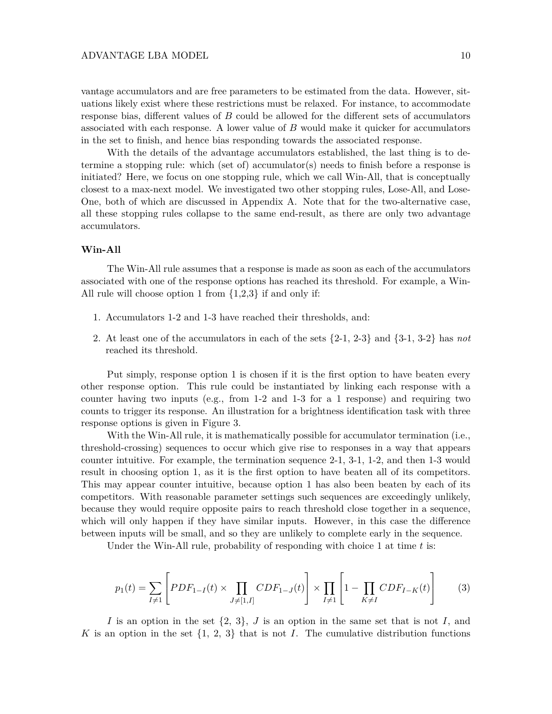vantage accumulators and are free parameters to be estimated from the data. However, situations likely exist where these restrictions must be relaxed. For instance, to accommodate response bias, different values of *B* could be allowed for the different sets of accumulators associated with each response. A lower value of *B* would make it quicker for accumulators in the set to finish, and hence bias responding towards the associated response.

With the details of the advantage accumulators established, the last thing is to determine a stopping rule: which (set of) accumulator(s) needs to finish before a response is initiated? Here, we focus on one stopping rule, which we call Win-All, that is conceptually closest to a max-next model. We investigated two other stopping rules, Lose-All, and Lose-One, both of which are discussed in Appendix A. Note that for the two-alternative case, all these stopping rules collapse to the same end-result, as there are only two advantage accumulators.

#### **Win-All**

The Win-All rule assumes that a response is made as soon as each of the accumulators associated with one of the response options has reached its threshold. For example, a Win-All rule will choose option 1 from {1,2,3} if and only if:

- 1. Accumulators 1-2 and 1-3 have reached their thresholds, and:
- 2. At least one of the accumulators in each of the sets {2-1, 2-3} and {3-1, 3-2} has *not* reached its threshold.

Put simply, response option 1 is chosen if it is the first option to have beaten every other response option. This rule could be instantiated by linking each response with a counter having two inputs (e.g., from 1-2 and 1-3 for a 1 response) and requiring two counts to trigger its response. An illustration for a brightness identification task with three response options is given in Figure 3.

With the Win-All rule, it is mathematically possible for accumulator termination (i.e., threshold-crossing) sequences to occur which give rise to responses in a way that appears counter intuitive. For example, the termination sequence 2-1, 3-1, 1-2, and then 1-3 would result in choosing option 1, as it is the first option to have beaten all of its competitors. This may appear counter intuitive, because option 1 has also been beaten by each of its competitors. With reasonable parameter settings such sequences are exceedingly unlikely, because they would require opposite pairs to reach threshold close together in a sequence, which will only happen if they have similar inputs. However, in this case the difference between inputs will be small, and so they are unlikely to complete early in the sequence.

Under the Win-All rule, probability of responding with choice 1 at time *t* is:

$$
p_1(t) = \sum_{I \neq 1} \left[ PDF_{1-I}(t) \times \prod_{J \neq [1,I]} CDF_{1-J}(t) \right] \times \prod_{I \neq 1} \left[ 1 - \prod_{K \neq I} CDF_{I-K}(t) \right]
$$
(3)

*I* is an option in the set {2, 3}, *J* is an option in the same set that is not *I*, and *K* is an option in the set  $\{1, 2, 3\}$  that is not *I*. The cumulative distribution functions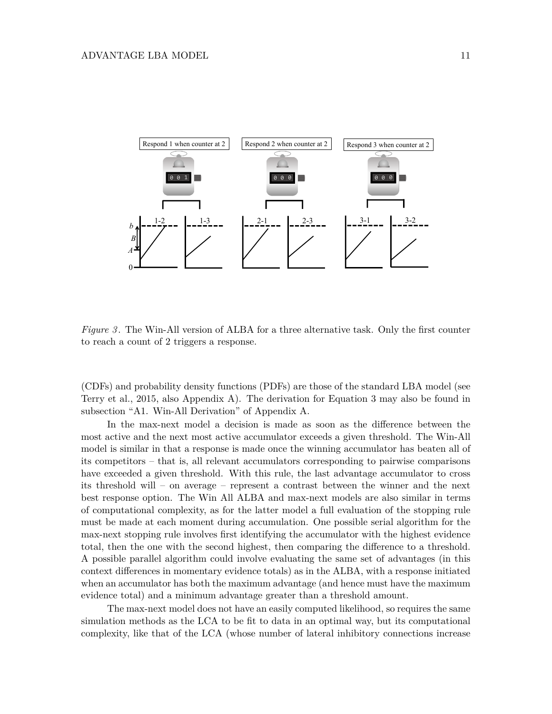

*Figure 3*. The Win-All version of ALBA for a three alternative task. Only the first counter to reach a count of 2 triggers a response.

(CDFs) and probability density functions (PDFs) are those of the standard LBA model (see Terry et al., 2015, also Appendix A). The derivation for Equation 3 may also be found in subsection "A1. Win-All Derivation" of Appendix A.

In the max-next model a decision is made as soon as the difference between the most active and the next most active accumulator exceeds a given threshold. The Win-All model is similar in that a response is made once the winning accumulator has beaten all of its competitors – that is, all relevant accumulators corresponding to pairwise comparisons have exceeded a given threshold. With this rule, the last advantage accumulator to cross its threshold will – on average – represent a contrast between the winner and the next best response option. The Win All ALBA and max-next models are also similar in terms of computational complexity, as for the latter model a full evaluation of the stopping rule must be made at each moment during accumulation. One possible serial algorithm for the max-next stopping rule involves first identifying the accumulator with the highest evidence total, then the one with the second highest, then comparing the difference to a threshold. A possible parallel algorithm could involve evaluating the same set of advantages (in this context differences in momentary evidence totals) as in the ALBA, with a response initiated when an accumulator has both the maximum advantage (and hence must have the maximum evidence total) and a minimum advantage greater than a threshold amount.

The max-next model does not have an easily computed likelihood, so requires the same simulation methods as the LCA to be fit to data in an optimal way, but its computational complexity, like that of the LCA (whose number of lateral inhibitory connections increase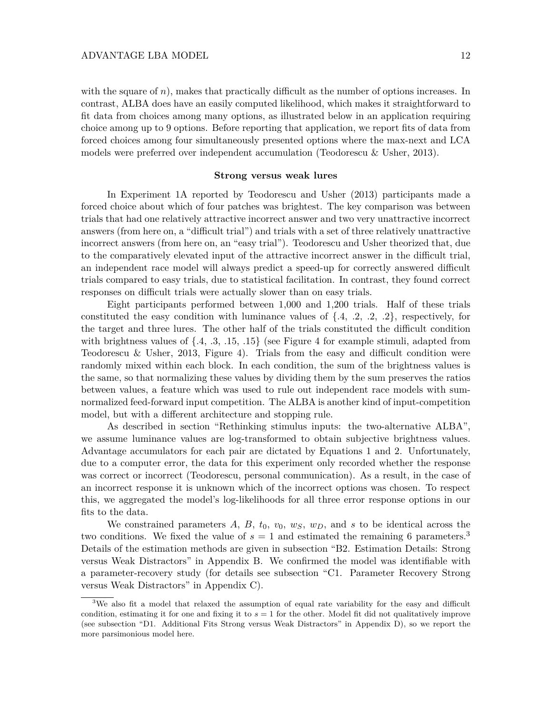with the square of *n*), makes that practically difficult as the number of options increases. In contrast, ALBA does have an easily computed likelihood, which makes it straightforward to fit data from choices among many options, as illustrated below in an application requiring choice among up to 9 options. Before reporting that application, we report fits of data from forced choices among four simultaneously presented options where the max-next and LCA models were preferred over independent accumulation (Teodorescu & Usher, 2013).

#### **Strong versus weak lures**

In Experiment 1A reported by Teodorescu and Usher (2013) participants made a forced choice about which of four patches was brightest. The key comparison was between trials that had one relatively attractive incorrect answer and two very unattractive incorrect answers (from here on, a "difficult trial") and trials with a set of three relatively unattractive incorrect answers (from here on, an "easy trial"). Teodorescu and Usher theorized that, due to the comparatively elevated input of the attractive incorrect answer in the difficult trial, an independent race model will always predict a speed-up for correctly answered difficult trials compared to easy trials, due to statistical facilitation. In contrast, they found correct responses on difficult trials were actually slower than on easy trials.

Eight participants performed between 1,000 and 1,200 trials. Half of these trials constituted the easy condition with luminance values of  $\{.4, .2, .2, .2\}$ , respectively, for the target and three lures. The other half of the trials constituted the difficult condition with brightness values of  $\{.4, .3, .15, .15\}$  (see Figure 4 for example stimuli, adapted from Teodorescu & Usher, 2013, Figure 4). Trials from the easy and difficult condition were randomly mixed within each block. In each condition, the sum of the brightness values is the same, so that normalizing these values by dividing them by the sum preserves the ratios between values, a feature which was used to rule out independent race models with sumnormalized feed-forward input competition. The ALBA is another kind of input-competition model, but with a different architecture and stopping rule.

As described in section "Rethinking stimulus inputs: the two-alternative ALBA", we assume luminance values are log-transformed to obtain subjective brightness values. Advantage accumulators for each pair are dictated by Equations 1 and 2. Unfortunately, due to a computer error, the data for this experiment only recorded whether the response was correct or incorrect (Teodorescu, personal communication). As a result, in the case of an incorrect response it is unknown which of the incorrect options was chosen. To respect this, we aggregated the model's log-likelihoods for all three error response options in our fits to the data.

We constrained parameters  $A, B, t_0, v_0, w_S, w_D$ , and  $s$  to be identical across the two conditions. We fixed the value of  $s = 1$  and estimated the remaining 6 parameters.<sup>3</sup> Details of the estimation methods are given in subsection "B2. Estimation Details: Strong versus Weak Distractors" in Appendix B. We confirmed the model was identifiable with a parameter-recovery study (for details see subsection "C1. Parameter Recovery Strong versus Weak Distractors" in Appendix C).

<sup>&</sup>lt;sup>3</sup>We also fit a model that relaxed the assumption of equal rate variability for the easy and difficult condition, estimating it for one and fixing it to  $s = 1$  for the other. Model fit did not qualitatively improve (see subsection "D1. Additional Fits Strong versus Weak Distractors" in Appendix D), so we report the more parsimonious model here.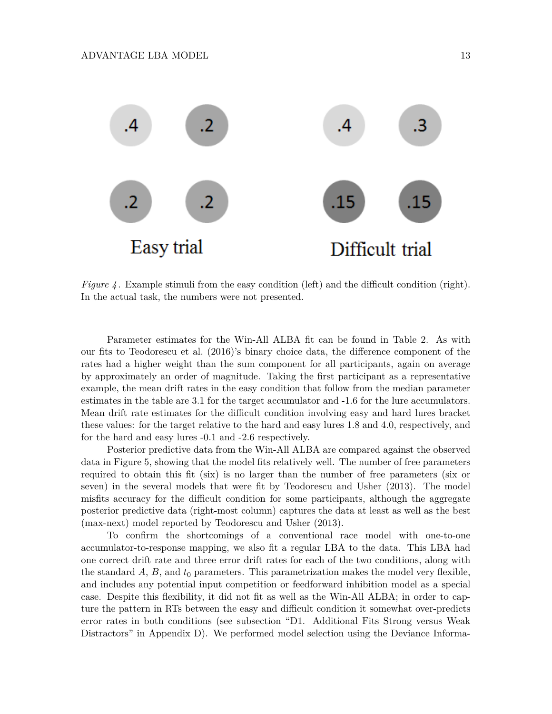

*Figure 4* . Example stimuli from the easy condition (left) and the difficult condition (right). In the actual task, the numbers were not presented.

Parameter estimates for the Win-All ALBA fit can be found in Table 2. As with our fits to Teodorescu et al. (2016)'s binary choice data, the difference component of the rates had a higher weight than the sum component for all participants, again on average by approximately an order of magnitude. Taking the first participant as a representative example, the mean drift rates in the easy condition that follow from the median parameter estimates in the table are 3.1 for the target accumulator and -1.6 for the lure accumulators. Mean drift rate estimates for the difficult condition involving easy and hard lures bracket these values: for the target relative to the hard and easy lures 1.8 and 4.0, respectively, and for the hard and easy lures -0.1 and -2.6 respectively.

Posterior predictive data from the Win-All ALBA are compared against the observed data in Figure 5, showing that the model fits relatively well. The number of free parameters required to obtain this fit (six) is no larger than the number of free parameters (six or seven) in the several models that were fit by Teodorescu and Usher (2013). The model misfits accuracy for the difficult condition for some participants, although the aggregate posterior predictive data (right-most column) captures the data at least as well as the best (max-next) model reported by Teodorescu and Usher (2013).

To confirm the shortcomings of a conventional race model with one-to-one accumulator-to-response mapping, we also fit a regular LBA to the data. This LBA had one correct drift rate and three error drift rates for each of the two conditions, along with the standard  $A$ ,  $B$ , and  $t_0$  parameters. This parametrization makes the model very flexible, and includes any potential input competition or feedforward inhibition model as a special case. Despite this flexibility, it did not fit as well as the Win-All ALBA; in order to capture the pattern in RTs between the easy and difficult condition it somewhat over-predicts error rates in both conditions (see subsection "D1. Additional Fits Strong versus Weak Distractors" in Appendix D). We performed model selection using the Deviance Informa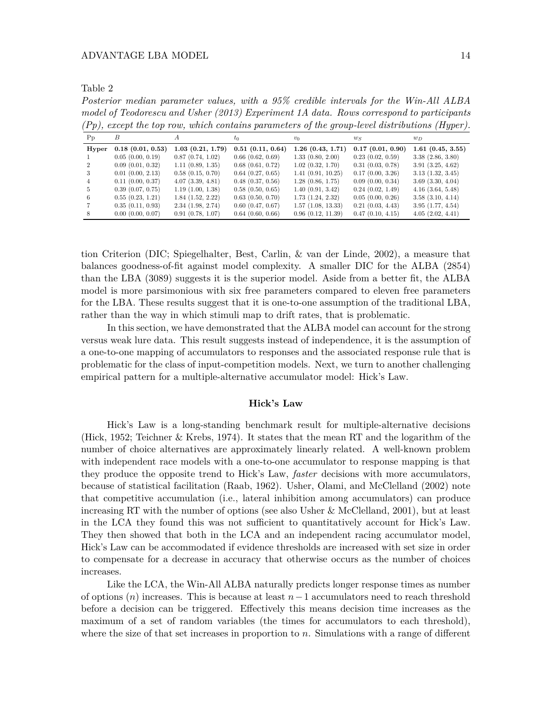Table 2

*Posterior median parameter values, with a 95% credible intervals for the Win-All ALBA model of Teodorescu and Usher (2013) Experiment 1A data. Rows correspond to participants (Pp), except the top row, which contains parameters of the group-level distributions (Hyper).*

| Pp             | В                     | A                     | $t_0$                 | $v_0$             | $w_S$            | $w_D$                 |
|----------------|-----------------------|-----------------------|-----------------------|-------------------|------------------|-----------------------|
| Hyper          | $0.18$ $(0.01, 0.53)$ | 1.03(0.21, 1.79)      | 0.51(0.11, 0.64)      | 1.26(0.43, 1.71)  | 0.17(0.01, 0.90) | 1.61(0.45, 3.55)      |
|                | 0.05(0.00, 0.19)      | 0.87(0.74, 1.02)      | $0.66$ $(0.62, 0.69)$ | 1.33(0.80, 2.00)  | 0.23(0.02, 0.59) | 3.38(2.86, 3.80)      |
|                | 0.09(0.01, 0.32)      | 1.11(0.89, 1.35)      | $0.68$ $(0.61, 0.72)$ | 1.02(0.32, 1.70)  | 0.31(0.03, 0.78) | 3.91(3.25, 4.62)      |
| -3             | $0.01$ $(0.00, 2.13)$ | 0.58(0.15, 0.70)      | $0.64$ $(0.27, 0.65)$ | 1.41(0.91, 10.25) | 0.17(0.00, 3.26) | 3.13(1.32, 3.45)      |
| $\overline{4}$ | 0.11(0.00, 0.37)      | $4.07$ $(3.39, 4.81)$ | $0.48$ $(0.37, 0.56)$ | 1.28(0.86, 1.75)  | 0.09(0.00, 0.34) | 3.69(3.30, 4.04)      |
| 5.             | 0.39(0.07, 0.75)      | 1.19(1.00, 1.38)      | 0.58(0.50, 0.65)      | 1.40(0.91, 3.42)  | 0.24(0.02, 1.49) | $4.16$ $(3.64, 5.48)$ |
| 6              | 0.55(0.23, 1.21)      | 1.84(1.52, 2.22)      | $0.63$ $(0.50, 0.70)$ | 1.73(1.24, 2.32)  | 0.05(0.00, 0.26) | 3.58(3.10, 4.14)      |
|                | 0.35(0.11, 0.93)      | 2.34(1.98, 2.74)      | $0.60$ $(0.47, 0.67)$ | 1.57(1.08, 13.33) | 0.21(0.03, 4.43) | 3.95(1.77, 4.54)      |
| 8              | 0.00(0.00, 0.07)      | 0.91(0.78, 1.07)      | $0.64$ $(0.60, 0.66)$ | 0.96(0.12, 11.39) | 0.47(0.10, 4.15) | 4.05(2.02, 4.41)      |

tion Criterion (DIC; Spiegelhalter, Best, Carlin, & van der Linde, 2002), a measure that balances goodness-of-fit against model complexity. A smaller DIC for the ALBA (2854) than the LBA (3089) suggests it is the superior model. Aside from a better fit, the ALBA model is more parsimonious with six free parameters compared to eleven free parameters for the LBA. These results suggest that it is one-to-one assumption of the traditional LBA, rather than the way in which stimuli map to drift rates, that is problematic.

In this section, we have demonstrated that the ALBA model can account for the strong versus weak lure data. This result suggests instead of independence, it is the assumption of a one-to-one mapping of accumulators to responses and the associated response rule that is problematic for the class of input-competition models. Next, we turn to another challenging empirical pattern for a multiple-alternative accumulator model: Hick's Law.

### **Hick's Law**

Hick's Law is a long-standing benchmark result for multiple-alternative decisions (Hick, 1952; Teichner & Krebs, 1974). It states that the mean RT and the logarithm of the number of choice alternatives are approximately linearly related. A well-known problem with independent race models with a one-to-one accumulator to response mapping is that they produce the opposite trend to Hick's Law, *faster* decisions with more accumulators, because of statistical facilitation (Raab, 1962). Usher, Olami, and McClelland (2002) note that competitive accumulation (i.e., lateral inhibition among accumulators) can produce increasing RT with the number of options (see also Usher & McClelland, 2001), but at least in the LCA they found this was not sufficient to quantitatively account for Hick's Law. They then showed that both in the LCA and an independent racing accumulator model, Hick's Law can be accommodated if evidence thresholds are increased with set size in order to compensate for a decrease in accuracy that otherwise occurs as the number of choices increases.

Like the LCA, the Win-All ALBA naturally predicts longer response times as number of options (*n*) increases. This is because at least *n*−1 accumulators need to reach threshold before a decision can be triggered. Effectively this means decision time increases as the maximum of a set of random variables (the times for accumulators to each threshold), where the size of that set increases in proportion to *n*. Simulations with a range of different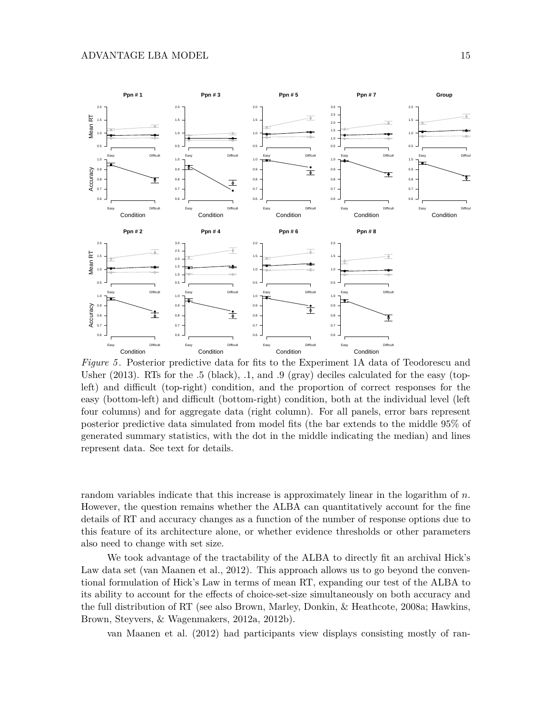

*Figure 5* . Posterior predictive data for fits to the Experiment 1A data of Teodorescu and Usher  $(2013)$ . RTs for the .5 (black), .1, and .9 (gray) deciles calculated for the easy (topleft) and difficult (top-right) condition, and the proportion of correct responses for the easy (bottom-left) and difficult (bottom-right) condition, both at the individual level (left four columns) and for aggregate data (right column). For all panels, error bars represent posterior predictive data simulated from model fits (the bar extends to the middle 95% of generated summary statistics, with the dot in the middle indicating the median) and lines represent data. See text for details.

random variables indicate that this increase is approximately linear in the logarithm of *n*. However, the question remains whether the ALBA can quantitatively account for the fine details of RT and accuracy changes as a function of the number of response options due to this feature of its architecture alone, or whether evidence thresholds or other parameters also need to change with set size.

We took advantage of the tractability of the ALBA to directly fit an archival Hick's Law data set (van Maanen et al., 2012). This approach allows us to go beyond the conventional formulation of Hick's Law in terms of mean RT, expanding our test of the ALBA to its ability to account for the effects of choice-set-size simultaneously on both accuracy and the full distribution of RT (see also Brown, Marley, Donkin, & Heathcote, 2008a; Hawkins, Brown, Steyvers, & Wagenmakers, 2012a, 2012b).

van Maanen et al. (2012) had participants view displays consisting mostly of ran-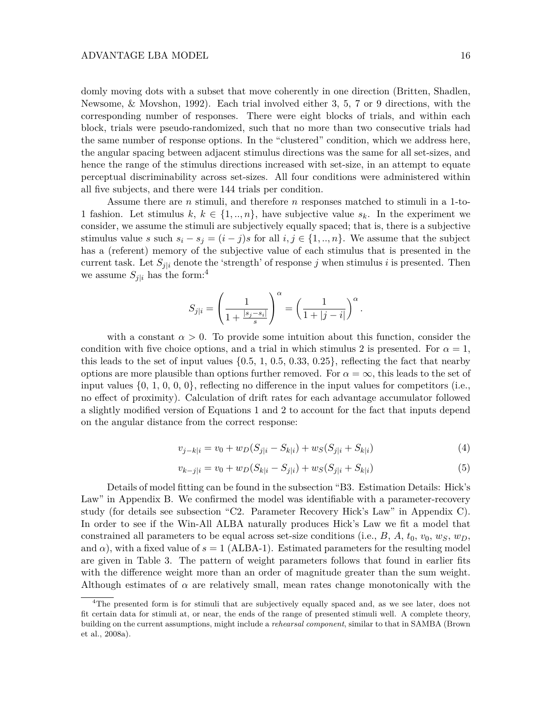domly moving dots with a subset that move coherently in one direction (Britten, Shadlen, Newsome, & Movshon, 1992). Each trial involved either 3, 5, 7 or 9 directions, with the corresponding number of responses. There were eight blocks of trials, and within each block, trials were pseudo-randomized, such that no more than two consecutive trials had the same number of response options. In the "clustered" condition, which we address here, the angular spacing between adjacent stimulus directions was the same for all set-sizes, and hence the range of the stimulus directions increased with set-size, in an attempt to equate perceptual discriminability across set-sizes. All four conditions were administered within all five subjects, and there were 144 trials per condition.

Assume there are *n* stimuli, and therefore *n* responses matched to stimuli in a 1-to-1 fashion. Let stimulus  $k, k \in \{1, ..., n\}$ , have subjective value  $s_k$ . In the experiment we consider, we assume the stimuli are subjectively equally spaced; that is, there is a subjective stimulus value *s* such  $s_i - s_j = (i - j)s$  for all  $i, j \in \{1, ..., n\}$ . We assume that the subject has a (referent) memory of the subjective value of each stimulus that is presented in the current task. Let  $S_{i|i}$  denote the 'strength' of response *j* when stimulus *i* is presented. Then we assume  $S_{i|i}$  has the form:<sup>4</sup>

$$
S_{j|i}=\left(\frac{1}{1+\frac{|s_j-s_i|}{s}}\right)^\alpha=\left(\frac{1}{1+|j-i|}\right)^\alpha.
$$

with a constant  $\alpha > 0$ . To provide some intuition about this function, consider the condition with five choice options, and a trial in which stimulus 2 is presented. For  $\alpha = 1$ , this leads to the set of input values  $\{0.5, 1, 0.5, 0.33, 0.25\}$ , reflecting the fact that nearby options are more plausible than options further removed. For  $\alpha = \infty$ , this leads to the set of input values  $\{0, 1, 0, 0, 0\}$ , reflecting no difference in the input values for competitors (i.e., no effect of proximity). Calculation of drift rates for each advantage accumulator followed a slightly modified version of Equations 1 and 2 to account for the fact that inputs depend on the angular distance from the correct response:

$$
v_{j-k|i} = v_0 + w_D(S_{j|i} - S_{k|i}) + w_S(S_{j|i} + S_{k|i})
$$
\n(4)

$$
v_{k-j|i} = v_0 + w_D(S_{k|i} - S_{j|i}) + w_S(S_{j|i} + S_{k|i})
$$
\n<sup>(5)</sup>

Details of model fitting can be found in the subsection "B3. Estimation Details: Hick's Law" in Appendix B. We confirmed the model was identifiable with a parameter-recovery study (for details see subsection "C2. Parameter Recovery Hick's Law" in Appendix C). In order to see if the Win-All ALBA naturally produces Hick's Law we fit a model that constrained all parameters to be equal across set-size conditions (i.e.,  $B$ ,  $A$ ,  $t_0$ ,  $v_0$ ,  $w_S$ ,  $w_D$ , and  $\alpha$ ), with a fixed value of  $s = 1$  (ALBA-1). Estimated parameters for the resulting model are given in Table 3. The pattern of weight parameters follows that found in earlier fits with the difference weight more than an order of magnitude greater than the sum weight. Although estimates of  $\alpha$  are relatively small, mean rates change monotonically with the

<sup>&</sup>lt;sup>4</sup>The presented form is for stimuli that are subjectively equally spaced and, as we see later, does not fit certain data for stimuli at, or near, the ends of the range of presented stimuli well. A complete theory, building on the current assumptions, might include a *rehearsal component*, similar to that in SAMBA (Brown et al., 2008a).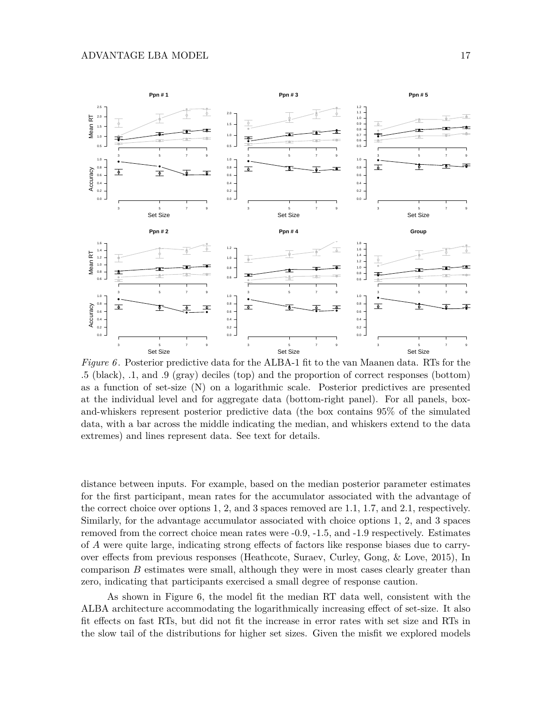

*Figure 6*. Posterior predictive data for the ALBA-1 fit to the van Maanen data. RTs for the .5 (black), .1, and .9 (gray) deciles (top) and the proportion of correct responses (bottom) as a function of set-size (N) on a logarithmic scale. Posterior predictives are presented at the individual level and for aggregate data (bottom-right panel). For all panels, boxand-whiskers represent posterior predictive data (the box contains 95% of the simulated data, with a bar across the middle indicating the median, and whiskers extend to the data extremes) and lines represent data. See text for details.

distance between inputs. For example, based on the median posterior parameter estimates for the first participant, mean rates for the accumulator associated with the advantage of the correct choice over options 1, 2, and 3 spaces removed are 1.1, 1.7, and 2.1, respectively. Similarly, for the advantage accumulator associated with choice options 1, 2, and 3 spaces removed from the correct choice mean rates were -0.9, -1.5, and -1.9 respectively. Estimates of *A* were quite large, indicating strong effects of factors like response biases due to carryover effects from previous responses (Heathcote, Suraev, Curley, Gong, & Love, 2015), In comparison *B* estimates were small, although they were in most cases clearly greater than zero, indicating that participants exercised a small degree of response caution.

As shown in Figure 6, the model fit the median RT data well, consistent with the ALBA architecture accommodating the logarithmically increasing effect of set-size. It also fit effects on fast RTs, but did not fit the increase in error rates with set size and RTs in the slow tail of the distributions for higher set sizes. Given the misfit we explored models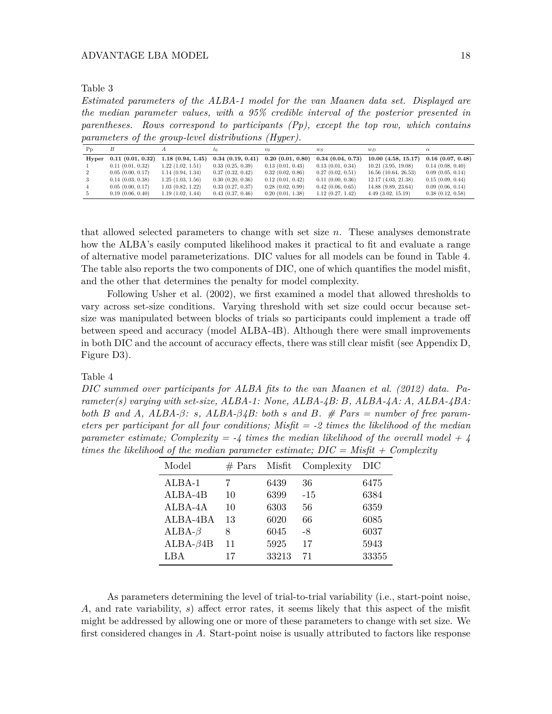Table 3

*Estimated parameters of the ALBA-1 model for the van Maanen data set. Displayed are the median parameter values, with a 95% credible interval of the posterior presented in parentheses. Rows correspond to participants (Pp), except the top row, which contains parameters of the group-level distributions (Hyper).*

| P <sub>D</sub> |                       |                  | tο                    | $v_0$                 | $w_S$                 | $w_D$                    | $\alpha$              |
|----------------|-----------------------|------------------|-----------------------|-----------------------|-----------------------|--------------------------|-----------------------|
| Hyper          | 0.11(0.01, 0.32)      | 1.18(0.94, 1.45) | 0.34(0.19, 0.41)      | 0.20(0.01, 0.80)      | 0.34(0.04, 0.73)      | 10.00(4.58, 15.17)       | $0.16$ $(0.07, 0.48)$ |
|                | 0.11(0.01, 0.32)      | 1.22(1.02, 1.51) | 0.33(0.25, 0.39)      | 0.13(0.01, 0.43)      | 0.13(0.01, 0.34)      | $10.21$ $(3.95, 19.08)$  | 0.14(0.08, 0.40)      |
|                | 0.05(0.00, 0.17)      | 1.14(0.94, 1.34) | 0.37(0.32, 0.42)      | 0.32(0.02, 0.86)      | 0.27(0.02, 0.51)      | $16.56$ $(10.64, 26.53)$ | 0.09(0.05, 0.14)      |
|                | $0.14$ $(0.03, 0.38)$ | 1.25(1.03, 1.56) | 0.30(0.20, 0.36)      | $0.12$ $(0.01, 0.42)$ | 0.11(0.00, 0.36)      | 12.17(4.03, 21.38)       | 0.15(0.09, 0.44)      |
|                | 0.05(0.00, 0.17)      | 1.03(0.82, 1.22) | 0.33(0.27, 0.37)      | 0.28(0.02, 0.99)      | $0.42$ $(0.06, 0.65)$ | $14.88$ $(9.89, 23.64)$  | 0.09(0.06, 0.14)      |
|                | 0.19(0.06, 0.40)      | 1.19(1.02, 1.44) | $0.43$ $(0.37, 0.46)$ | 0.20(0.01, 1.38)      | 1.12(0.27, 1.42)      | $4.49$ $(3.02, 15.19)$   | 0.38(0.12, 0.58)      |

that allowed selected parameters to change with set size *n*. These analyses demonstrate how the ALBA's easily computed likelihood makes it practical to fit and evaluate a range of alternative model parameterizations. DIC values for all models can be found in Table 4. The table also reports the two components of DIC, one of which quantifies the model misfit, and the other that determines the penalty for model complexity.

Following Usher et al. (2002), we first examined a model that allowed thresholds to vary across set-size conditions. Varying threshold with set size could occur because setsize was manipulated between blocks of trials so participants could implement a trade off between speed and accuracy (model ALBA-4B). Although there were small improvements in both DIC and the account of accuracy effects, there was still clear misfit (see Appendix D, Figure D3).

Table 4

*DIC summed over participants for ALBA fits to the van Maanen et al. (2012) data. Parameter(s) varying with set-size, ALBA-1: None, ALBA-4B: B, ALBA-4A: A, ALBA-4BA: both B* and *A*,  $ALBA-*β*$ *: s*,  $ALBA-*β*4*B*$ *: both s* and *B*. # *Pars = number of free parameters per participant for all four conditions; Misfit = -2 times the likelihood of the median parameter estimate; Complexity = -4 times the median likelihood of the overall model + 4 times the likelihood of the median parameter estimate; DIC = Misfit + Complexity*

| Model          | $#$ Pars | Misfit | Complexity | DIC   |
|----------------|----------|--------|------------|-------|
| $ALBA-1$       |          | 6439   | 36         | 6475  |
| ALBA-4B        | 10       | 6399   | $-1.5$     | 6384  |
| ALBA-4A        | 10       | 6303   | 56         | 6359  |
| ALBA-4BA       | 13       | 6020   | 66         | 6085  |
| $ALBA-\beta$   | 8        | 6045   | -8         | 6037  |
| $ALBA-\beta4B$ | 11       | 5925   | 17         | 5943  |
| LBA            | 17       | 33213  | 71         | 33355 |

As parameters determining the level of trial-to-trial variability (i.e., start-point noise, *A*, and rate variability, *s*) affect error rates, it seems likely that this aspect of the misfit might be addressed by allowing one or more of these parameters to change with set size. We first considered changes in *A*. Start-point noise is usually attributed to factors like response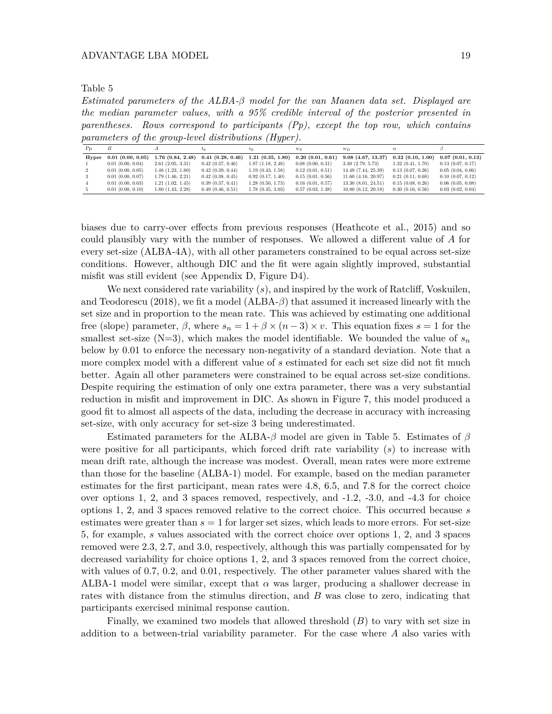Table 5

*Estimated parameters of the ALBA-β model for the van Maanen data set. Displayed are the median parameter values, with a 95% credible interval of the posterior presented in parentheses. Rows correspond to participants (Pp), except the top row, which contains parameters of the group-level distributions (Hyper).*

| P <sub>D</sub> |                       |                  | $\iota_0$             | $v_0$            | $w_S$                 | $w_D$                   |                  |                       |
|----------------|-----------------------|------------------|-----------------------|------------------|-----------------------|-------------------------|------------------|-----------------------|
| Hyper          | $0.01$ $(0.00, 0.05)$ | 1.76(0.84, 2.48) | 0.41(0.28, 0.46)      | 1.21(0.35, 1.80) | 0.20(0.01, 0.61)      | $9.08$ $(4.67, 13.37)$  | 0.32(0.10, 1.00) | 0.07(0.01, 0.13)      |
|                | $0.01$ $(0.00, 0.04)$ | 2.61(2.05, 3.31) | $0.42$ $(0.37, 0.46)$ | 1.87(1.18, 2.48) | 0.08(0.00, 0.31)      | 3.30(2.79, 5.73)        | 1.32(0.41, 1.70) | $0.13$ $(0.07, 0.17)$ |
|                | $0.01$ $(0.00, 0.05)$ | 1.48(1.23, 1.80) | 0.42(0.39, 0.44)      | 1.19(0.43, 1.58) | 0.12(0.01, 0.51)      | 14.49 (7.44, 25.39)     | 0.13(0.07, 0.26) | 0.05(0.04, 0.06)      |
|                | $0.01$ $(0.00, 0.07)$ | 1.79(1.46, 2.21) | $0.42$ $(0.38, 0.45)$ | 0.92(0.17, 1.40) | 0.15(0.01, 0.56)      | $11.60$ $(4.16, 20.97)$ | 0.21(0.11, 0.68) | 0.10(0.07, 0.12)      |
|                | $0.01$ $(0.00, 0.03)$ | 1.21(1.02, 1.45) | 0.39(0.37, 0.41)      | 1.28(0.50, 1.73) | $0.16$ $(0.01, 0.57)$ | 13.30(8.01, 24.51)      | 0.15(0.08, 0.26) | $0.06$ $(0.05, 0.08)$ |
|                | 0.01(0.00, 0.10)      | 1.80(1.43, 2.28) | 0.49(0.46, 0.51)      | 1.78(0.45, 3.03) | 0.57(0.03, 1.38)      | 10.80(6.12, 20.18)      | 0.30(0.16, 0.56) | 0.03(0.02, 0.04)      |

biases due to carry-over effects from previous responses (Heathcote et al., 2015) and so could plausibly vary with the number of responses. We allowed a different value of *A* for every set-size (ALBA-4A), with all other parameters constrained to be equal across set-size conditions. However, although DIC and the fit were again slightly improved, substantial misfit was still evident (see Appendix D, Figure D4).

We next considered rate variability (*s*), and inspired by the work of Ratcliff, Voskuilen, and Teodorescu (2018), we fit a model  $(ALBA- $\beta$ )$  that assumed it increased linearly with the set size and in proportion to the mean rate. This was achieved by estimating one additional free (slope) parameter,  $\beta$ , where  $s_n = 1 + \beta \times (n-3) \times v$ . This equation fixes  $s = 1$  for the smallest set-size  $(N=3)$ , which makes the model identifiable. We bounded the value of  $s<sub>n</sub>$ below by 0.01 to enforce the necessary non-negativity of a standard deviation. Note that a more complex model with a different value of *s* estimated for each set size did not fit much better. Again all other parameters were constrained to be equal across set-size conditions. Despite requiring the estimation of only one extra parameter, there was a very substantial reduction in misfit and improvement in DIC. As shown in Figure 7, this model produced a good fit to almost all aspects of the data, including the decrease in accuracy with increasing set-size, with only accuracy for set-size 3 being underestimated.

Estimated parameters for the ALBA-*β* model are given in Table 5. Estimates of *β* were positive for all participants, which forced drift rate variability (*s*) to increase with mean drift rate, although the increase was modest. Overall, mean rates were more extreme than those for the baseline (ALBA-1) model. For example, based on the median parameter estimates for the first participant, mean rates were 4.8, 6.5, and 7.8 for the correct choice over options 1, 2, and 3 spaces removed, respectively, and -1.2, -3.0, and -4.3 for choice options 1, 2, and 3 spaces removed relative to the correct choice. This occurred because *s* estimates were greater than  $s = 1$  for larger set sizes, which leads to more errors. For set-size 5, for example, *s* values associated with the correct choice over options 1, 2, and 3 spaces removed were 2.3, 2.7, and 3.0, respectively, although this was partially compensated for by decreased variability for choice options 1, 2, and 3 spaces removed from the correct choice, with values of 0.7, 0.2, and 0.01, respectively. The other parameter values shared with the ALBA-1 model were similar, except that  $\alpha$  was larger, producing a shallower decrease in rates with distance from the stimulus direction, and *B* was close to zero, indicating that participants exercised minimal response caution.

Finally, we examined two models that allowed threshold (*B*) to vary with set size in addition to a between-trial variability parameter. For the case where *A* also varies with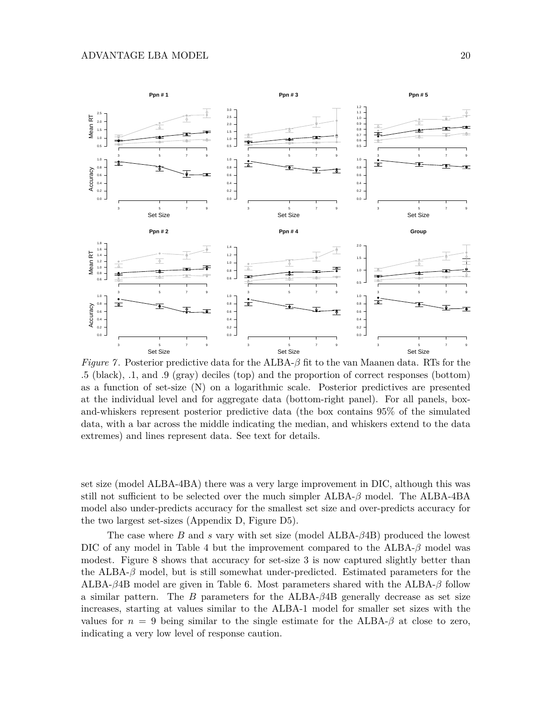

*Figure 7* . Posterior predictive data for the ALBA-*β* fit to the van Maanen data. RTs for the .5 (black), .1, and .9 (gray) deciles (top) and the proportion of correct responses (bottom) as a function of set-size (N) on a logarithmic scale. Posterior predictives are presented at the individual level and for aggregate data (bottom-right panel). For all panels, boxand-whiskers represent posterior predictive data (the box contains 95% of the simulated data, with a bar across the middle indicating the median, and whiskers extend to the data extremes) and lines represent data. See text for details.

set size (model ALBA-4BA) there was a very large improvement in DIC, although this was still not sufficient to be selected over the much simpler ALBA-*β* model. The ALBA-4BA model also under-predicts accuracy for the smallest set size and over-predicts accuracy for the two largest set-sizes (Appendix D, Figure D5).

The case where *B* and *s* vary with set size (model ALBA-*β*4B) produced the lowest DIC of any model in Table 4 but the improvement compared to the ALBA-*β* model was modest. Figure 8 shows that accuracy for set-size 3 is now captured slightly better than the ALBA-*β* model, but is still somewhat under-predicted. Estimated parameters for the ALBA-*β*4B model are given in Table 6. Most parameters shared with the ALBA-*β* follow a similar pattern. The *B* parameters for the ALBA-*β*4B generally decrease as set size increases, starting at values similar to the ALBA-1 model for smaller set sizes with the values for  $n = 9$  being similar to the single estimate for the ALBA- $\beta$  at close to zero, indicating a very low level of response caution.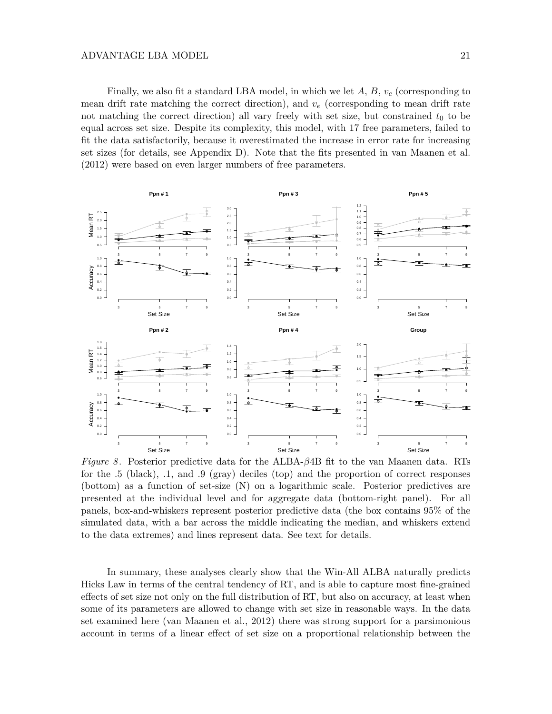Finally, we also fit a standard LBA model, in which we let *A*, *B*, *v<sup>c</sup>* (corresponding to mean drift rate matching the correct direction), and *v<sup>e</sup>* (corresponding to mean drift rate not matching the correct direction) all vary freely with set size, but constrained  $t_0$  to be equal across set size. Despite its complexity, this model, with 17 free parameters, failed to fit the data satisfactorily, because it overestimated the increase in error rate for increasing set sizes (for details, see Appendix D). Note that the fits presented in van Maanen et al. (2012) were based on even larger numbers of free parameters.



*Figure 8* . Posterior predictive data for the ALBA-*β*4B fit to the van Maanen data. RTs for the .5 (black), .1, and .9 (gray) deciles (top) and the proportion of correct responses (bottom) as a function of set-size (N) on a logarithmic scale. Posterior predictives are presented at the individual level and for aggregate data (bottom-right panel). For all panels, box-and-whiskers represent posterior predictive data (the box contains 95% of the simulated data, with a bar across the middle indicating the median, and whiskers extend to the data extremes) and lines represent data. See text for details.

In summary, these analyses clearly show that the Win-All ALBA naturally predicts Hicks Law in terms of the central tendency of RT, and is able to capture most fine-grained effects of set size not only on the full distribution of RT, but also on accuracy, at least when some of its parameters are allowed to change with set size in reasonable ways. In the data set examined here (van Maanen et al., 2012) there was strong support for a parsimonious account in terms of a linear effect of set size on a proportional relationship between the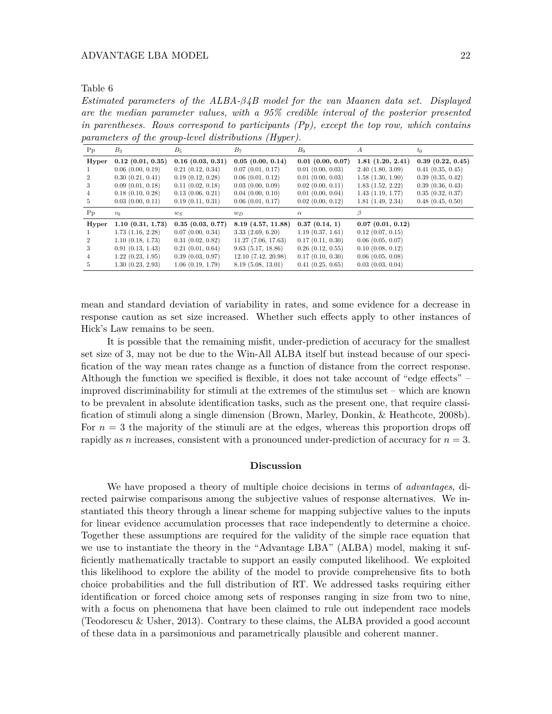*Estimated parameters of the ALBA-β4B model for the van Maanen data set. Displayed are the median parameter values, with a 95% credible interval of the posterior presented in parentheses. Rows correspond to participants (Pp), except the top row, which contains parameters of the group-level distributions (Hyper).*

| Pp      | $B_3$                 | $B_5$                 | $B_7$                 | $B_9$                 | A                     | $t_0$                 |
|---------|-----------------------|-----------------------|-----------------------|-----------------------|-----------------------|-----------------------|
| Hyper   | $0.12$ $(0.01, 0.35)$ | $0.16$ $(0.03, 0.31)$ | 0.05(0.00, 0.14)      | $0.01$ $(0.00, 0.07)$ | 1.81(1.20, 2.41)      | 0.39(0.22, 0.45)      |
|         | 0.06(0.00, 0.19)      | $0.21$ $(0.12, 0.34)$ | $0.07$ $(0.01, 0.17)$ | $0.01$ $(0.00, 0.03)$ | 2.40(1.80, 3.09)      | 0.41(0.35, 0.45)      |
|         | 0.30(0.21, 0.41)      | 0.19(0.12, 0.28)      | 0.06(0.01, 0.12)      | $0.01$ $(0.00, 0.03)$ | 1.58(1.30, 1.90)      | 0.39(0.35, 0.42)      |
| 3       | 0.09(0.01, 0.18)      | 0.11(0.02, 0.18)      | 0.03(0.00, 0.09)      | $0.02$ $(0.00, 0.11)$ | 1.83(1.52, 2.22)      | 0.39(0.36, 0.43)      |
| 4       | $0.18$ $(0.10, 0.28)$ | 0.13(0.06, 0.21)      | $0.04$ $(0.00, 0.10)$ | 0.01(0.00, 0.04)      | 1.43(1.19, 1.77)      | 0.35(0.32, 0.37)      |
| 5       | 0.03(0.00, 0.11)      | 0.19(0.11, 0.31)      | $0.06$ $(0.01, 0.17)$ | $0.02$ $(0.00, 0.12)$ | 1.81(1.49, 2.34)      | $0.48$ $(0.45, 0.50)$ |
| $P_{p}$ | $v_0$                 | $w_S$                 | $w_D$                 | $\alpha$              |                       |                       |
| Hyper   | 1.10(0.31, 1.73)      | 0.35(0.03, 0.77)      | 8.19 (4.57, 11.88)    | 0.37(0.14, 1)         | 0.07(0.01, 0.12)      |                       |
|         | 1.73(1.16, 2.28)      | 0.07(0.00, 0.34)      | 3.33(2.69, 6.20)      | 1.19(0.37, 1.61)      | 0.12(0.07, 0.15)      |                       |
|         | 1.10(0.18, 1.73)      | 0.31(0.02, 0.82)      | 11.27(7.06, 17.63)    | 0.17(0.11, 0.30)      | $0.06$ $(0.05, 0.07)$ |                       |
| 3       | 0.91(0.13, 1.43)      | 0.21(0.01, 0.64)      | 9.63(5.17, 18.86)     | $0.26$ $(0.12, 0.55)$ | 0.10(0.08, 0.12)      |                       |
| 4       | 1.22(0.23, 1.95)      | 0.39(0.03, 0.97)      | 12.10(7.42, 20.98)    | 0.17(0.10, 0.30)      | $0.06$ $(0.05, 0.08)$ |                       |
| 5       | 1.30(0.23, 2.93)      | 1.06(0.19, 1.79)      | 8.19(5.08, 13.01)     | 0.41(0.25, 0.65)      | 0.03(0.03, 0.04)      |                       |

mean and standard deviation of variability in rates, and some evidence for a decrease in response caution as set size increased. Whether such effects apply to other instances of Hick's Law remains to be seen.

It is possible that the remaining misfit, under-prediction of accuracy for the smallest set size of 3, may not be due to the Win-All ALBA itself but instead because of our specification of the way mean rates change as a function of distance from the correct response. Although the function we specified is flexible, it does not take account of "edge effects" – improved discriminability for stimuli at the extremes of the stimulus set – which are known to be prevalent in absolute identification tasks, such as the present one, that require classification of stimuli along a single dimension (Brown, Marley, Donkin, & Heathcote, 2008b). For  $n=3$  the majority of the stimuli are at the edges, whereas this proportion drops off rapidly as *n* increases, consistent with a pronounced under-prediction of accuracy for *n* = 3.

## **Discussion**

We have proposed a theory of multiple choice decisions in terms of *advantages*, directed pairwise comparisons among the subjective values of response alternatives. We instantiated this theory through a linear scheme for mapping subjective values to the inputs for linear evidence accumulation processes that race independently to determine a choice. Together these assumptions are required for the validity of the simple race equation that we use to instantiate the theory in the "Advantage LBA" (ALBA) model, making it sufficiently mathematically tractable to support an easily computed likelihood. We exploited this likelihood to explore the ability of the model to provide comprehensive fits to both choice probabilities and the full distribution of RT. We addressed tasks requiring either identification or forced choice among sets of responses ranging in size from two to nine, with a focus on phenomena that have been claimed to rule out independent race models (Teodorescu & Usher, 2013). Contrary to these claims, the ALBA provided a good account of these data in a parsimonious and parametrically plausible and coherent manner.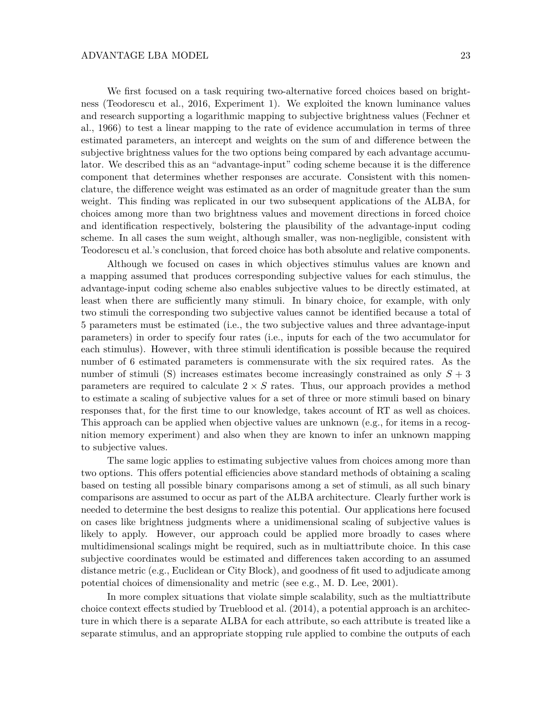We first focused on a task requiring two-alternative forced choices based on brightness (Teodorescu et al., 2016, Experiment 1). We exploited the known luminance values and research supporting a logarithmic mapping to subjective brightness values (Fechner et al., 1966) to test a linear mapping to the rate of evidence accumulation in terms of three estimated parameters, an intercept and weights on the sum of and difference between the subjective brightness values for the two options being compared by each advantage accumulator. We described this as an "advantage-input" coding scheme because it is the difference component that determines whether responses are accurate. Consistent with this nomenclature, the difference weight was estimated as an order of magnitude greater than the sum weight. This finding was replicated in our two subsequent applications of the ALBA, for choices among more than two brightness values and movement directions in forced choice and identification respectively, bolstering the plausibility of the advantage-input coding scheme. In all cases the sum weight, although smaller, was non-negligible, consistent with Teodorescu et al.'s conclusion, that forced choice has both absolute and relative components.

Although we focused on cases in which objectives stimulus values are known and a mapping assumed that produces corresponding subjective values for each stimulus, the advantage-input coding scheme also enables subjective values to be directly estimated, at least when there are sufficiently many stimuli. In binary choice, for example, with only two stimuli the corresponding two subjective values cannot be identified because a total of 5 parameters must be estimated (i.e., the two subjective values and three advantage-input parameters) in order to specify four rates (i.e., inputs for each of the two accumulator for each stimulus). However, with three stimuli identification is possible because the required number of 6 estimated parameters is commensurate with the six required rates. As the number of stimuli (S) increases estimates become increasingly constrained as only *S* + 3 parameters are required to calculate  $2 \times S$  rates. Thus, our approach provides a method to estimate a scaling of subjective values for a set of three or more stimuli based on binary responses that, for the first time to our knowledge, takes account of RT as well as choices. This approach can be applied when objective values are unknown (e.g., for items in a recognition memory experiment) and also when they are known to infer an unknown mapping to subjective values.

The same logic applies to estimating subjective values from choices among more than two options. This offers potential efficiencies above standard methods of obtaining a scaling based on testing all possible binary comparisons among a set of stimuli, as all such binary comparisons are assumed to occur as part of the ALBA architecture. Clearly further work is needed to determine the best designs to realize this potential. Our applications here focused on cases like brightness judgments where a unidimensional scaling of subjective values is likely to apply. However, our approach could be applied more broadly to cases where multidimensional scalings might be required, such as in multiattribute choice. In this case subjective coordinates would be estimated and differences taken according to an assumed distance metric (e.g., Euclidean or City Block), and goodness of fit used to adjudicate among potential choices of dimensionality and metric (see e.g., M. D. Lee, 2001).

In more complex situations that violate simple scalability, such as the multiattribute choice context effects studied by Trueblood et al. (2014), a potential approach is an architecture in which there is a separate ALBA for each attribute, so each attribute is treated like a separate stimulus, and an appropriate stopping rule applied to combine the outputs of each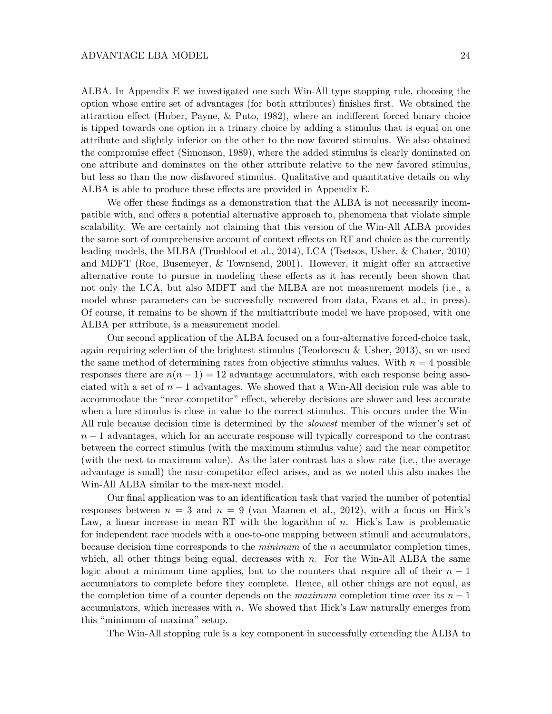ALBA. In Appendix E we investigated one such Win-All type stopping rule, choosing the option whose entire set of advantages (for both attributes) finishes first. We obtained the attraction effect (Huber, Payne, & Puto, 1982), where an indifferent forced binary choice is tipped towards one option in a trinary choice by adding a stimulus that is equal on one attribute and slightly inferior on the other to the now favored stimulus. We also obtained the compromise effect (Simonson, 1989), where the added stimulus is clearly dominated on one attribute and dominates on the other attribute relative to the new favored stimulus, but less so than the now disfavored stimulus. Qualitative and quantitative details on why ALBA is able to produce these effects are provided in Appendix E.

We offer these findings as a demonstration that the ALBA is not necessarily incompatible with, and offers a potential alternative approach to, phenomena that violate simple scalability. We are certainly not claiming that this version of the Win-All ALBA provides the same sort of comprehensive account of context effects on RT and choice as the currently leading models, the MLBA (Trueblood et al., 2014), LCA (Tsetsos, Usher, & Chater, 2010) and MDFT (Roe, Busemeyer, & Townsend, 2001). However, it might offer an attractive alternative route to pursue in modeling these effects as it has recently been shown that not only the LCA, but also MDFT and the MLBA are not measurement models (i.e., a model whose parameters can be successfully recovered from data, Evans et al., in press). Of course, it remains to be shown if the multiattribute model we have proposed, with one ALBA per attribute, is a measurement model.

Our second application of the ALBA focused on a four-alternative forced-choice task, again requiring selection of the brightest stimulus (Teodorescu & Usher, 2013), so we used the same method of determining rates from objective stimulus values. With  $n = 4$  possible responses there are  $n(n-1) = 12$  advantage accumulators, with each response being associated with a set of  $n-1$  advantages. We showed that a Win-All decision rule was able to accommodate the "near-competitor" effect, whereby decisions are slower and less accurate when a lure stimulus is close in value to the correct stimulus. This occurs under the Win-All rule because decision time is determined by the *slowest* member of the winner's set of *n* − 1 advantages, which for an accurate response will typically correspond to the contrast between the correct stimulus (with the maximum stimulus value) and the near competitor (with the next-to-maximum value). As the later contrast has a slow rate (i.e., the average advantage is small) the near-competitor effect arises, and as we noted this also makes the Win-All ALBA similar to the max-next model.

Our final application was to an identification task that varied the number of potential responses between  $n = 3$  and  $n = 9$  (van Maanen et al., 2012), with a focus on Hick's Law, a linear increase in mean RT with the logarithm of *n*. Hick's Law is problematic for independent race models with a one-to-one mapping between stimuli and accumulators, because decision time corresponds to the *minimum* of the *n* accumulator completion times, which, all other things being equal, decreases with *n*. For the Win-All ALBA the same logic about a minimum time applies, but to the counters that require all of their  $n-1$ accumulators to complete before they complete. Hence, all other things are not equal, as the completion time of a counter depends on the *maximum* completion time over its *n* − 1 accumulators, which increases with *n*. We showed that Hick's Law naturally emerges from this "minimum-of-maxima" setup.

The Win-All stopping rule is a key component in successfully extending the ALBA to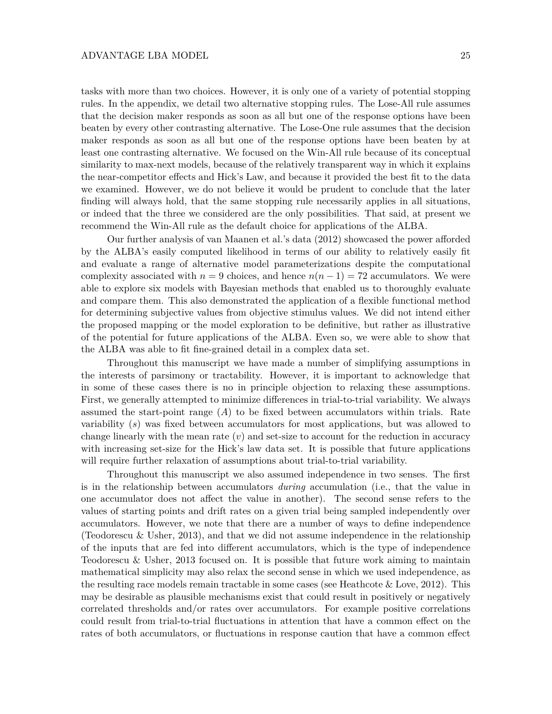tasks with more than two choices. However, it is only one of a variety of potential stopping rules. In the appendix, we detail two alternative stopping rules. The Lose-All rule assumes that the decision maker responds as soon as all but one of the response options have been beaten by every other contrasting alternative. The Lose-One rule assumes that the decision maker responds as soon as all but one of the response options have been beaten by at least one contrasting alternative. We focused on the Win-All rule because of its conceptual similarity to max-next models, because of the relatively transparent way in which it explains the near-competitor effects and Hick's Law, and because it provided the best fit to the data we examined. However, we do not believe it would be prudent to conclude that the later finding will always hold, that the same stopping rule necessarily applies in all situations, or indeed that the three we considered are the only possibilities. That said, at present we recommend the Win-All rule as the default choice for applications of the ALBA.

Our further analysis of van Maanen et al.'s data (2012) showcased the power afforded by the ALBA's easily computed likelihood in terms of our ability to relatively easily fit and evaluate a range of alternative model parameterizations despite the computational complexity associated with  $n = 9$  choices, and hence  $n(n-1) = 72$  accumulators. We were able to explore six models with Bayesian methods that enabled us to thoroughly evaluate and compare them. This also demonstrated the application of a flexible functional method for determining subjective values from objective stimulus values. We did not intend either the proposed mapping or the model exploration to be definitive, but rather as illustrative of the potential for future applications of the ALBA. Even so, we were able to show that the ALBA was able to fit fine-grained detail in a complex data set.

Throughout this manuscript we have made a number of simplifying assumptions in the interests of parsimony or tractability. However, it is important to acknowledge that in some of these cases there is no in principle objection to relaxing these assumptions. First, we generally attempted to minimize differences in trial-to-trial variability. We always assumed the start-point range  $(A)$  to be fixed between accumulators within trials. Rate variability (*s*) was fixed between accumulators for most applications, but was allowed to change linearly with the mean rate (*v*) and set-size to account for the reduction in accuracy with increasing set-size for the Hick's law data set. It is possible that future applications will require further relaxation of assumptions about trial-to-trial variability.

Throughout this manuscript we also assumed independence in two senses. The first is in the relationship between accumulators *during* accumulation (i.e., that the value in one accumulator does not affect the value in another). The second sense refers to the values of starting points and drift rates on a given trial being sampled independently over accumulators. However, we note that there are a number of ways to define independence (Teodorescu & Usher, 2013), and that we did not assume independence in the relationship of the inputs that are fed into different accumulators, which is the type of independence Teodorescu & Usher, 2013 focused on. It is possible that future work aiming to maintain mathematical simplicity may also relax the second sense in which we used independence, as the resulting race models remain tractable in some cases (see Heathcote & Love, 2012). This may be desirable as plausible mechanisms exist that could result in positively or negatively correlated thresholds and/or rates over accumulators. For example positive correlations could result from trial-to-trial fluctuations in attention that have a common effect on the rates of both accumulators, or fluctuations in response caution that have a common effect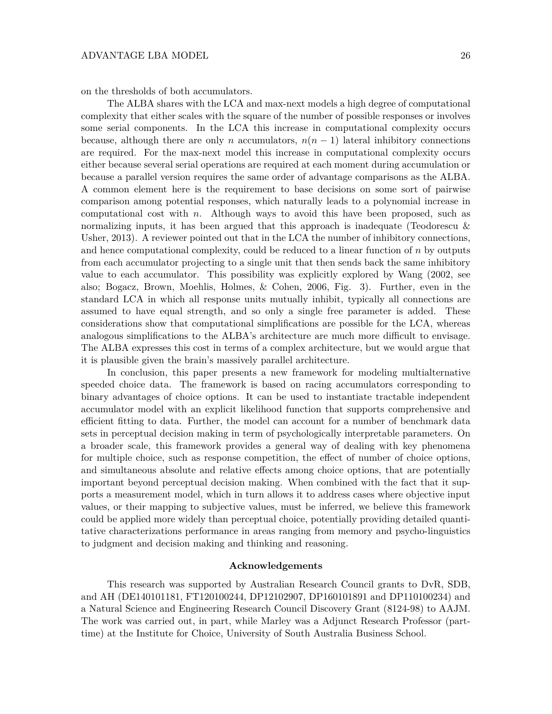on the thresholds of both accumulators.

The ALBA shares with the LCA and max-next models a high degree of computational complexity that either scales with the square of the number of possible responses or involves some serial components. In the LCA this increase in computational complexity occurs because, although there are only *n* accumulators,  $n(n-1)$  lateral inhibitory connections are required. For the max-next model this increase in computational complexity occurs either because several serial operations are required at each moment during accumulation or because a parallel version requires the same order of advantage comparisons as the ALBA. A common element here is the requirement to base decisions on some sort of pairwise comparison among potential responses, which naturally leads to a polynomial increase in computational cost with *n*. Although ways to avoid this have been proposed, such as normalizing inputs, it has been argued that this approach is inadequate (Teodorescu & Usher, 2013). A reviewer pointed out that in the LCA the number of inhibitory connections, and hence computational complexity, could be reduced to a linear function of *n* by outputs from each accumulator projecting to a single unit that then sends back the same inhibitory value to each accumulator. This possibility was explicitly explored by Wang (2002, see also; Bogacz, Brown, Moehlis, Holmes, & Cohen, 2006, Fig. 3). Further, even in the standard LCA in which all response units mutually inhibit, typically all connections are assumed to have equal strength, and so only a single free parameter is added. These considerations show that computational simplifications are possible for the LCA, whereas analogous simplifications to the ALBA's architecture are much more difficult to envisage. The ALBA expresses this cost in terms of a complex architecture, but we would argue that it is plausible given the brain's massively parallel architecture.

In conclusion, this paper presents a new framework for modeling multialternative speeded choice data. The framework is based on racing accumulators corresponding to binary advantages of choice options. It can be used to instantiate tractable independent accumulator model with an explicit likelihood function that supports comprehensive and efficient fitting to data. Further, the model can account for a number of benchmark data sets in perceptual decision making in term of psychologically interpretable parameters. On a broader scale, this framework provides a general way of dealing with key phenomena for multiple choice, such as response competition, the effect of number of choice options, and simultaneous absolute and relative effects among choice options, that are potentially important beyond perceptual decision making. When combined with the fact that it supports a measurement model, which in turn allows it to address cases where objective input values, or their mapping to subjective values, must be inferred, we believe this framework could be applied more widely than perceptual choice, potentially providing detailed quantitative characterizations performance in areas ranging from memory and psycho-linguistics to judgment and decision making and thinking and reasoning.

## **Acknowledgements**

This research was supported by Australian Research Council grants to DvR, SDB, and AH (DE140101181, FT120100244, DP12102907, DP160101891 and DP110100234) and a Natural Science and Engineering Research Council Discovery Grant (8124-98) to AAJM. The work was carried out, in part, while Marley was a Adjunct Research Professor (parttime) at the Institute for Choice, University of South Australia Business School.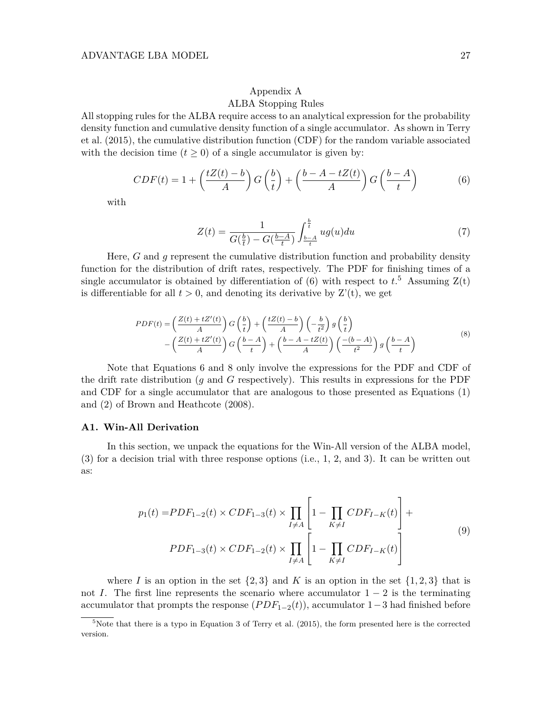## Appendix A

## ALBA Stopping Rules

All stopping rules for the ALBA require access to an analytical expression for the probability density function and cumulative density function of a single accumulator. As shown in Terry et al. (2015), the cumulative distribution function (CDF) for the random variable associated with the decision time  $(t \geq 0)$  of a single accumulator is given by:

$$
CDF(t) = 1 + \left(\frac{tZ(t) - b}{A}\right)G\left(\frac{b}{t}\right) + \left(\frac{b - A - tZ(t)}{A}\right)G\left(\frac{b - A}{t}\right) \tag{6}
$$

with

$$
Z(t) = \frac{1}{G(\frac{b}{t}) - G(\frac{b-A}{t})} \int_{\frac{b-A}{t}}^{\frac{b}{t}} ug(u) du
$$
 (7)

Here, *G* and *g* represent the cumulative distribution function and probability density function for the distribution of drift rates, respectively. The PDF for finishing times of a single accumulator is obtained by differentiation of (6) with respect to  $t$ <sup>5</sup>. Assuming  $Z(t)$ is differentiable for all  $t > 0$ , and denoting its derivative by  $Z'(t)$ , we get

$$
PDF(t) = \left(\frac{Z(t) + tZ'(t)}{A}\right) G\left(\frac{b}{t}\right) + \left(\frac{tZ(t) - b}{A}\right) \left(-\frac{b}{t^2}\right) g\left(\frac{b}{t}\right)
$$

$$
-\left(\frac{Z(t) + tZ'(t)}{A}\right) G\left(\frac{b - A}{t}\right) + \left(\frac{b - A - tZ(t)}{A}\right) \left(\frac{-(b - A)}{t^2}\right) g\left(\frac{b - A}{t}\right)
$$
(8)

Note that Equations 6 and 8 only involve the expressions for the PDF and CDF of the drift rate distribution (*g* and *G* respectively). This results in expressions for the PDF and CDF for a single accumulator that are analogous to those presented as Equations (1) and (2) of Brown and Heathcote (2008).

#### **A1. Win-All Derivation**

In this section, we unpack the equations for the Win-All version of the ALBA model, (3) for a decision trial with three response options (i.e., 1, 2, and 3). It can be written out as:

$$
p_1(t) = PDF_{1-2}(t) \times CDF_{1-3}(t) \times \prod_{I \neq A} \left[ 1 - \prod_{K \neq I} CDF_{I-K}(t) \right] +
$$
  
\n
$$
PDF_{1-3}(t) \times CDF_{1-2}(t) \times \prod_{I \neq A} \left[ 1 - \prod_{K \neq I} CDF_{I-K}(t) \right]
$$
\n(9)

where *I* is an option in the set  $\{2,3\}$  and *K* is an option in the set  $\{1,2,3\}$  that is not *I*. The first line represents the scenario where accumulator  $1 - 2$  is the terminating accumulator that prompts the response  $(PDF_{1-2}(t))$ , accumulator 1–3 had finished before

 $5$ Note that there is a typo in Equation 3 of Terry et al. (2015), the form presented here is the corrected version.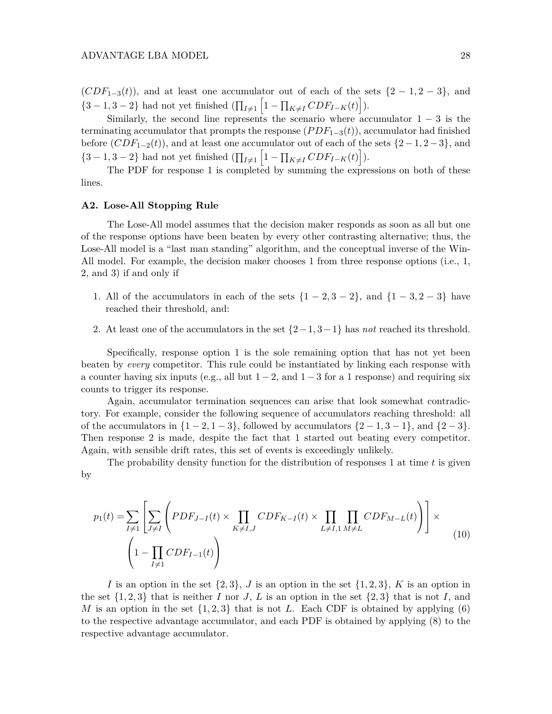$(CDF<sub>1−3</sub>(t))$ , and at least one accumulator out of each of the sets  $\{2-1, 2-3\}$ , and  $\{3 - 1, 3 - 2\}$  had not yet finished  $(\prod_{I \neq 1} \left[1 - \prod_{K \neq I} CDF_{I-K}(t)\right]).$ 

Similarly, the second line represents the scenario where accumulator  $1 - 3$  is the terminating accumulator that prompts the response (*P DF*1−3(*t*)), accumulator had finished before  $(CDF_{1-2}(t))$ , and at least one accumulator out of each of the sets  $\{2-1, 2-3\}$ , and  $\{3-1, 3-2\}$  had not yet finished  $(\prod_{I \neq 1} \left[1 - \prod_{K \neq I} CDF_{I-K}(t)\right]$ .

The PDF for response 1 is completed by summing the expressions on both of these lines.

## **A2. Lose-All Stopping Rule**

The Lose-All model assumes that the decision maker responds as soon as all but one of the response options have been beaten by every other contrasting alternative; thus, the Lose-All model is a "last man standing" algorithm, and the conceptual inverse of the Win-All model. For example, the decision maker chooses 1 from three response options (i.e., 1, 2, and 3) if and only if

- 1. All of the accumulators in each of the sets  $\{1 2, 3 2\}$ , and  $\{1 3, 2 3\}$  have reached their threshold, and:
- 2. At least one of the accumulators in the set {2−1*,* 3−1} has *not* reached its threshold.

Specifically, response option 1 is the sole remaining option that has not yet been beaten by *every* competitor. This rule could be instantiated by linking each response with a counter having six inputs (e.g., all but  $1 - 2$ , and  $1 - 3$  for a 1 response) and requiring six counts to trigger its response.

Again, accumulator termination sequences can arise that look somewhat contradictory. For example, consider the following sequence of accumulators reaching threshold: all of the accumulators in  $\{1-2, 1-3\}$ , followed by accumulators  $\{2-1, 3-1\}$ , and  $\{2-3\}$ . Then response 2 is made, despite the fact that 1 started out beating every competitor. Again, with sensible drift rates, this set of events is exceedingly unlikely.

The probability density function for the distribution of responses 1 at time *t* is given by

$$
p_1(t) = \sum_{I \neq 1} \left[ \sum_{J \neq I} \left( PDF_{J-I}(t) \times \prod_{K \neq I,J} CDF_{K-I}(t) \times \prod_{L \neq I,1} \prod_{M \neq L} CDF_{M-L}(t) \right) \right] \times \tag{10}
$$
\n
$$
\left( 1 - \prod_{I \neq 1} CDF_{I-1}(t) \right)
$$

*I* is an option in the set  $\{2, 3\}$ , *J* is an option in the set  $\{1, 2, 3\}$ , *K* is an option in the set  $\{1, 2, 3\}$  that is neither *I* nor *J*, *L* is an option in the set  $\{2, 3\}$  that is not *I*, and *M* is an option in the set  $\{1, 2, 3\}$  that is not *L*. Each CDF is obtained by applying (6) to the respective advantage accumulator, and each PDF is obtained by applying (8) to the respective advantage accumulator.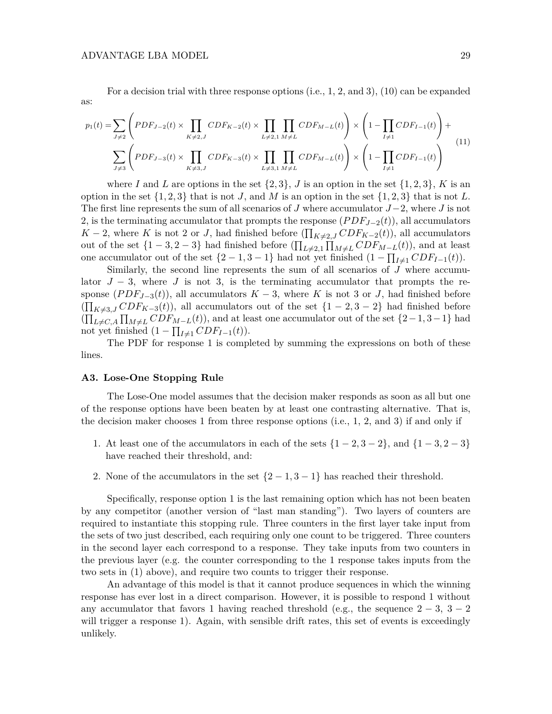as:

For a decision trial with three response options (i.e., 1, 2, and 3), (10) can be expanded

$$
p_1(t) = \sum_{J \neq 2} \left( PDF_{J-2}(t) \times \prod_{K \neq 2,J} CDF_{K-2}(t) \times \prod_{L \neq 2,1} \prod_{M \neq L} CDF_{M-L}(t) \right) \times \left( 1 - \prod_{I \neq 1} CDF_{I-1}(t) \right) + \sum_{J \neq 3} \left( PDF_{J-3}(t) \times \prod_{K \neq 3,J} CDF_{K-3}(t) \times \prod_{L \neq 3,1} \prod_{M \neq L} CDF_{M-L}(t) \right) \times \left( 1 - \prod_{I \neq 1} CDF_{I-1}(t) \right)
$$
\n
$$
(11)
$$

where *I* and *L* are options in the set  $\{2,3\}$ , *J* is an option in the set  $\{1,2,3\}$ , *K* is an option in the set  $\{1, 2, 3\}$  that is not *J*, and *M* is an option in the set  $\{1, 2, 3\}$  that is not *L*. The first line represents the sum of all scenarios of *J* where accumulator *J*−2, where *J* is not 2, is the terminating accumulator that prompts the response (*P DFJ*−2(*t*)), all accumulators *K* − 2, where *K* is not 2 or *J*, had finished before  $(\prod_{K\neq 2,J} CDF_{K-2}(t))$ , all accumulators out of the set  $\{1-3, 2-3\}$  had finished before  $(\prod_{L\neq 2,1} \prod_{M\neq L} CDF_{M-L}(t)$ , and at least one accumulator out of the set  $\{2 - 1, 3 - 1\}$  had not yet finished  $(1 - \prod_{I \neq 1} CDF_{I-1}(t))$ .

Similarly, the second line represents the sum of all scenarios of *J* where accumulator  $J - 3$ , where *J* is not 3, is the terminating accumulator that prompts the response  $(PDF_{J-3}(t))$ , all accumulators  $K-3$ , where K is not 3 or *J*, had finished before  $(\prod_{K\neq 3,J} CDF_{K-3}(t)$ , all accumulators out of the set  $\{1-2, 3-2\}$  had finished before  $(\prod_{L\neq C,A}\prod_{M\neq L}CDF_{M-L}(t))$ , and at least one accumulator out of the set  $\{2-1,3-1\}$  had not yet finished  $(1 - \prod_{I \neq 1} CDF_{I-1}(t)).$ 

The PDF for response 1 is completed by summing the expressions on both of these lines.

#### **A3. Lose-One Stopping Rule**

The Lose-One model assumes that the decision maker responds as soon as all but one of the response options have been beaten by at least one contrasting alternative. That is, the decision maker chooses 1 from three response options (i.e., 1, 2, and 3) if and only if

- 1. At least one of the accumulators in each of the sets {1 − 2*,* 3 − 2}, and {1 − 3*,* 2 − 3} have reached their threshold, and:
- 2. None of the accumulators in the set  $\{2-1, 3-1\}$  has reached their threshold.

Specifically, response option 1 is the last remaining option which has not been beaten by any competitor (another version of "last man standing"). Two layers of counters are required to instantiate this stopping rule. Three counters in the first layer take input from the sets of two just described, each requiring only one count to be triggered. Three counters in the second layer each correspond to a response. They take inputs from two counters in the previous layer (e.g. the counter corresponding to the 1 response takes inputs from the two sets in (1) above), and require two counts to trigger their response.

An advantage of this model is that it cannot produce sequences in which the winning response has ever lost in a direct comparison. However, it is possible to respond 1 without any accumulator that favors 1 having reached threshold (e.g., the sequence  $2 - 3$ ,  $3 - 2$ ) will trigger a response 1). Again, with sensible drift rates, this set of events is exceedingly unlikely.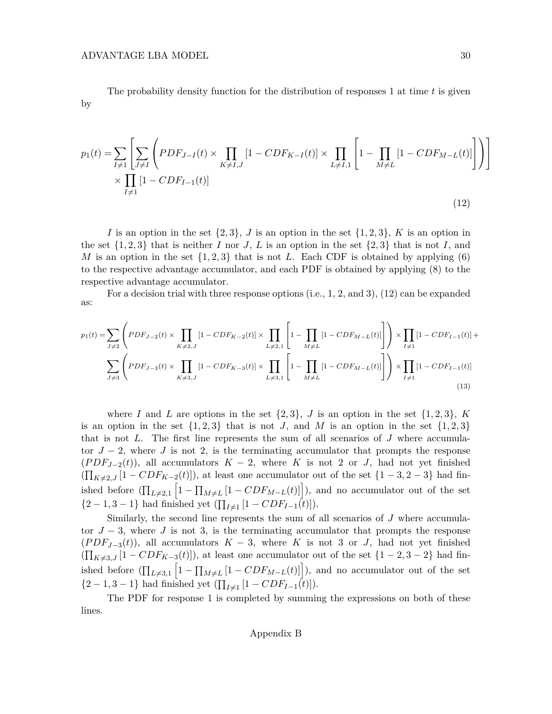The probability density function for the distribution of responses 1 at time *t* is given by

$$
p_1(t) = \sum_{I \neq 1} \left[ \sum_{J \neq I} \left( PDF_{J-I}(t) \times \prod_{K \neq I,J} [1 - CDF_{K-I}(t)] \times \prod_{L \neq I,1} \left[ 1 - \prod_{M \neq L} [1 - CDF_{M-L}(t)] \right] \right) \right]
$$
  
 
$$
\times \prod_{I \neq 1} [1 - CDF_{I-1}(t)]
$$
 (12)

*I* is an option in the set  $\{2, 3\}$ , *J* is an option in the set  $\{1, 2, 3\}$ , *K* is an option in the set  $\{1, 2, 3\}$  that is neither *I* nor *J*, *L* is an option in the set  $\{2, 3\}$  that is not *I*, and *M* is an option in the set  $\{1,2,3\}$  that is not *L*. Each CDF is obtained by applying (6) to the respective advantage accumulator, and each PDF is obtained by applying (8) to the respective advantage accumulator.

For a decision trial with three response options (i.e., 1, 2, and 3), (12) can be expanded as:

$$
p_1(t) = \sum_{J \neq 2} \left( PDF_{J-2}(t) \times \prod_{K \neq 2,J} [1 - CDF_{K-2}(t)] \times \prod_{L \neq 2,1} \left[ 1 - \prod_{M \neq L} [1 - CDF_{M-L}(t)] \right] \right) \times \prod_{I \neq 1} [1 - CDF_{I-1}(t)] +
$$
  

$$
\sum_{J \neq 3} \left( PDF_{J-3}(t) \times \prod_{K \neq 3,J} [1 - CDF_{K-3}(t)] \times \prod_{L \neq 3,1} \left[ 1 - \prod_{M \neq L} [1 - CDF_{M-L}(t)] \right] \right) \times \prod_{I \neq 1} [1 - CDF_{I-1}(t)] \tag{13}
$$

where *I* and *L* are options in the set  $\{2,3\}$ , *J* is an option in the set  $\{1,2,3\}$ , *K* is an option in the set  $\{1,2,3\}$  that is not *J*, and *M* is an option in the set  $\{1,2,3\}$ that is not *L*. The first line represents the sum of all scenarios of *J* where accumulator  $J - 2$ , where *J* is not 2, is the terminating accumulator that prompts the response  $(PDF<sub>J-2</sub>(t))$ , all accumulators  $K-2$ , where *K* is not 2 or *J*, had not yet finished  $(\prod_{K\neq 2,J} [1 - CDF_{K-2}(t)]),$  at least one accumulator out of the set  $\{1-3, 2-3\}$  had finished before  $(\prod_{L\neq 2,1} \left[1 - \prod_{M\neq L} [1 - CDF_{M-L}(t)]\right]$ , and no accumulator out of the set  $\{2-1, 3-1\}$  had finished yet  $(\prod_{I \neq 1} [1 - CDF_{I-1}(t)]).$ 

Similarly, the second line represents the sum of all scenarios of *J* where accumulator  $J - 3$ , where *J* is not 3, is the terminating accumulator that prompts the response  $(PDF<sub>J-3</sub>(t)$ , all accumulators  $K-3$ , where *K* is not 3 or *J*, had not yet finished  $(\prod_{K\neq 3,J} [1 - CDF_{K-3}(t)]),$  at least one accumulator out of the set  $\{1-2, 3-2\}$  had finished before  $(\prod_{L\neq 3,1} [1 - \prod_{M\neq L} [1 - CDF_{M-L}(t)]])$ , and no accumulator out of the set  $\{2-1, 3-1\}$  had finished yet  $(\prod_{I \neq 1} [1 - CDF_{I-1}(t)]).$ 

The PDF for response 1 is completed by summing the expressions on both of these lines.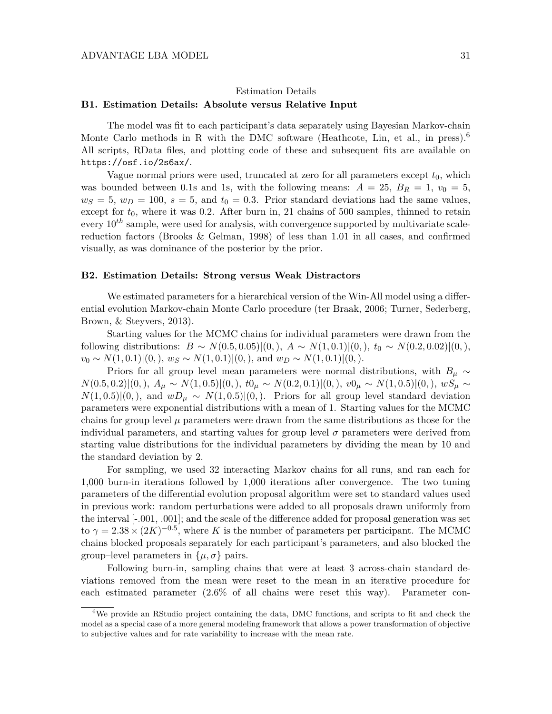# Estimation Details **B1. Estimation Details: Absolute versus Relative Input**

The model was fit to each participant's data separately using Bayesian Markov-chain Monte Carlo methods in R with the DMC software (Heathcote, Lin, et al., in press).<sup>6</sup> All scripts, RData files, and plotting code of these and subsequent fits are available on https://osf.io/2s6ax/.

Vague normal priors were used, truncated at zero for all parameters except  $t_0$ , which was bounded between 0.1s and 1s, with the following means:  $A = 25$ ,  $B_R = 1$ ,  $v_0 = 5$ ,  $w<sub>S</sub> = 5, w<sub>D</sub> = 100, s = 5, and t<sub>0</sub> = 0.3. Prior standard deviations had the same values,$ except for  $t_0$ , where it was 0.2. After burn in, 21 chains of 500 samples, thinned to retain every  $10^{th}$  sample, were used for analysis, with convergence supported by multivariate scalereduction factors (Brooks & Gelman, 1998) of less than 1.01 in all cases, and confirmed visually, as was dominance of the posterior by the prior.

### **B2. Estimation Details: Strong versus Weak Distractors**

We estimated parameters for a hierarchical version of the Win-All model using a differential evolution Markov-chain Monte Carlo procedure (ter Braak, 2006; Turner, Sederberg, Brown, & Steyvers, 2013).

Starting values for the MCMC chains for individual parameters were drawn from the following distributions: *B* ∼ *N*(0*.*5*,* 0*.*05)|(0*,*), *A* ∼ *N*(1*,* 0*.*1)|(0*,*), *t*<sup>0</sup> ∼ *N*(0*.*2*,* 0*.*02)|(0*,*), *v*<sub>0</sub> ∼ *N*(1*,* 0*.*1)|(0*,*)*, w<sub>S</sub>* ∼ *N*(1*,* 0*.*1)|(0*,*)*,* and *w<sub>D</sub>* ∼ *N*(1*,* 0*.*1)|(0*,*).

Priors for all group level mean parameters were normal distributions, with  $B_\mu \sim$  $N(0.5, 0.2) | (0,), A_{\mu} \sim N(1, 0.5) | (0,), t0_{\mu} \sim N(0.2, 0.1) | (0,), v0_{\mu} \sim N(1, 0.5) | (0,), wS_{\mu} \sim N(1, 0.5) | (0,0)$  $N(1,0.5)|(0,),$  and  $wD_\mu \sim N(1,0.5)|(0,).$  Priors for all group level standard deviation parameters were exponential distributions with a mean of 1. Starting values for the MCMC chains for group level  $\mu$  parameters were drawn from the same distributions as those for the individual parameters, and starting values for group level  $\sigma$  parameters were derived from starting value distributions for the individual parameters by dividing the mean by 10 and the standard deviation by 2.

For sampling, we used 32 interacting Markov chains for all runs, and ran each for 1,000 burn-in iterations followed by 1,000 iterations after convergence. The two tuning parameters of the differential evolution proposal algorithm were set to standard values used in previous work: random perturbations were added to all proposals drawn uniformly from the interval [-.001, .001]; and the scale of the difference added for proposal generation was set to  $\gamma = 2.38 \times (2K)^{-0.5}$ , where *K* is the number of parameters per participant. The MCMC chains blocked proposals separately for each participant's parameters, and also blocked the group–level parameters in  $\{\mu, \sigma\}$  pairs.

Following burn-in, sampling chains that were at least 3 across-chain standard deviations removed from the mean were reset to the mean in an iterative procedure for each estimated parameter (2.6% of all chains were reset this way). Parameter con-

 $6$ We provide an RStudio project containing the data, DMC functions, and scripts to fit and check the model as a special case of a more general modeling framework that allows a power transformation of objective to subjective values and for rate variability to increase with the mean rate.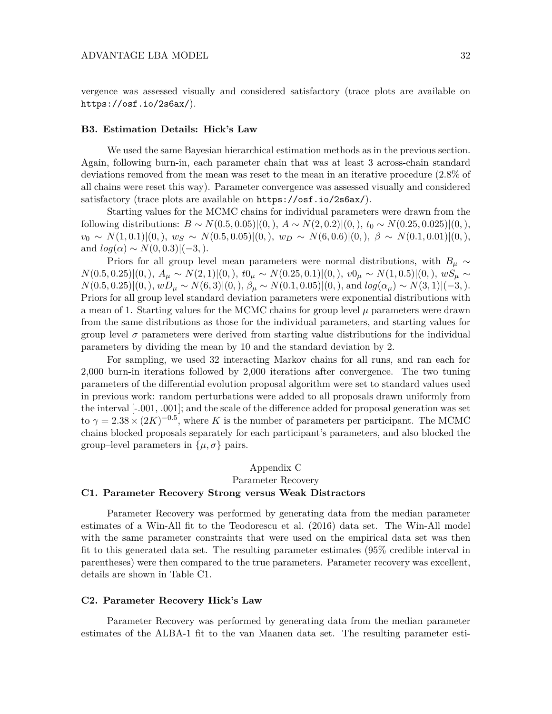vergence was assessed visually and considered satisfactory (trace plots are available on https://osf.io/2s6ax/).

## **B3. Estimation Details: Hick's Law**

We used the same Bayesian hierarchical estimation methods as in the previous section. Again, following burn-in, each parameter chain that was at least 3 across-chain standard deviations removed from the mean was reset to the mean in an iterative procedure (2.8% of all chains were reset this way). Parameter convergence was assessed visually and considered satisfactory (trace plots are available on https://osf.io/2s6ax/).

Starting values for the MCMC chains for individual parameters were drawn from the following distributions: *B* ∼ *N*(0*.*5*,* 0*.*05)|(0*,*), *A* ∼ *N*(2*,* 0*.*2)|(0*,*), *t*<sup>0</sup> ∼ *N*(0*.*25*,* 0*.*025)|(0*,*),  $v_0 \sim N(1, 0.1)$  $(0,), w_S \sim N(0.5, 0.05)$  $(0,), w_D \sim N(6, 0.6)$  $(0,), \beta \sim N(0.1, 0.01)$  $(0,),$ and  $log(\alpha) \sim N(0, 0.3)|(-3, ).$ 

Priors for all group level mean parameters were normal distributions, with  $B_\mu \sim$  $N(0.5, 0.25)|(0,), A_{\mu} \sim N(2, 1)|(0,), t0_{\mu} \sim N(0.25, 0.1)|(0,), v0_{\mu} \sim N(1, 0.5)|(0,), wS_{\mu} \sim$  $N(0.5, 0.25)|(0,), wD_{\mu} \sim N(6,3)|(0,), \beta_{\mu} \sim N(0.1, 0.05)|(0,), \text{ and } log(\alpha_{\mu}) \sim N(3,1)|(-3,).$ Priors for all group level standard deviation parameters were exponential distributions with a mean of 1. Starting values for the MCMC chains for group level  $\mu$  parameters were drawn from the same distributions as those for the individual parameters, and starting values for group level *σ* parameters were derived from starting value distributions for the individual parameters by dividing the mean by 10 and the standard deviation by 2.

For sampling, we used 32 interacting Markov chains for all runs, and ran each for 2,000 burn-in iterations followed by 2,000 iterations after convergence. The two tuning parameters of the differential evolution proposal algorithm were set to standard values used in previous work: random perturbations were added to all proposals drawn uniformly from the interval [-.001, .001]; and the scale of the difference added for proposal generation was set to  $\gamma = 2.38 \times (2K)^{-0.5}$ , where *K* is the number of parameters per participant. The MCMC chains blocked proposals separately for each participant's parameters, and also blocked the group–level parameters in  $\{\mu, \sigma\}$  pairs.

# Appendix C Parameter Recovery **C1. Parameter Recovery Strong versus Weak Distractors**

Parameter Recovery was performed by generating data from the median parameter estimates of a Win-All fit to the Teodorescu et al. (2016) data set. The Win-All model with the same parameter constraints that were used on the empirical data set was then fit to this generated data set. The resulting parameter estimates (95% credible interval in parentheses) were then compared to the true parameters. Parameter recovery was excellent, details are shown in Table C1.

## **C2. Parameter Recovery Hick's Law**

Parameter Recovery was performed by generating data from the median parameter estimates of the ALBA-1 fit to the van Maanen data set. The resulting parameter esti-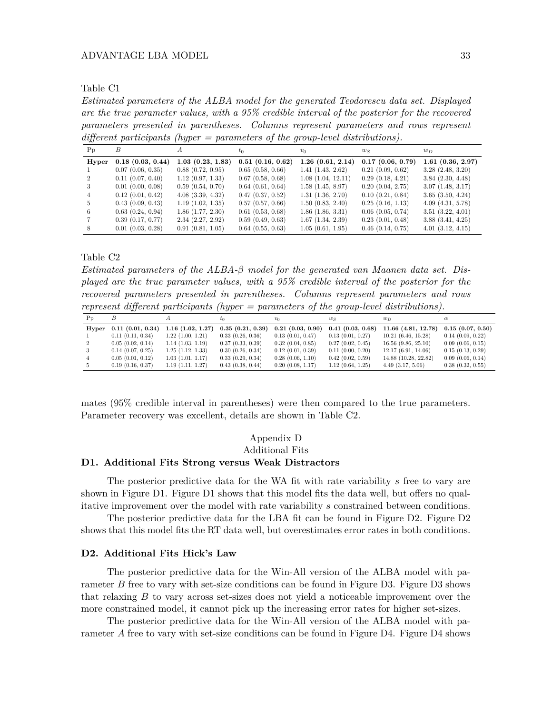*Estimated parameters of the ALBA model for the generated Teodorescu data set. Displayed are the true parameter values, with a 95% credible interval of the posterior for the recovered parameters presented in parentheses. Columns represent parameters and rows represent different participants (hyper = parameters of the group-level distributions).*

| P <sub>D</sub> | В                     | А                     | $t_0$                 | $v_0$                 | $w_S$                 | $w_D$                 |
|----------------|-----------------------|-----------------------|-----------------------|-----------------------|-----------------------|-----------------------|
| Hyper          | 0.18(0.03, 0.44)      | 1.03(0.23, 1.83)      | 0.51(0.16, 0.62)      | $1.26$ $(0.61, 2.14)$ | 0.17(0.06, 0.79)      | 1.61(0.36, 2.97)      |
|                | 0.07(0.06, 0.35)      | 0.88(0.72, 0.95)      | 0.65(0.58, 0.66)      | 1.41(1.43, 2.62)      | 0.21(0.09, 0.62)      | 3.28(2.48, 3.20)      |
|                | $0.11$ $(0.07, 0.40)$ | 1.12(0.97, 1.33)      | 0.67(0.58, 0.68)      | 1.08(1.04, 12.11)     | 0.29(0.18, 4.21)      | 3.84(2.30, 4.48)      |
| 3              | 0.01(0.00, 0.08)      | 0.59(0.54, 0.70)      | $0.64$ $(0.61, 0.64)$ | 1.58(1.45, 8.97)      | 0.20(0.04, 2.75)      | 3.07(1.48, 3.17)      |
| 4              | 0.12(0.01, 0.42)      | $4.08$ $(3.39, 4.32)$ | 0.47(0.37, 0.52)      | 1.31(1.36, 2.70)      | 0.10(0.21, 0.84)      | $3.65$ $(3.50, 4.24)$ |
| 5              | 0.43(0.09, 0.43)      | 1.19(1.02, 1.35)      | 0.57(0.57, 0.66)      | 1.50(0.83, 2.40)      | 0.25(0.16, 1.13)      | 4.09(4.31, 5.78)      |
| 6.             | 0.63(0.24, 0.94)      | $1.86$ $(1.77, 2.30)$ | $0.61$ $(0.53, 0.68)$ | 1.86(1.86, 3.31)      | $0.06$ $(0.05, 0.74)$ | $3.51$ $(3.22, 4.01)$ |
|                | 0.39(0.17, 0.77)      | 2.34(2.27, 2.92)      | 0.59(0.49, 0.63)      | 1.67(1.34, 2.39)      | 0.23(0.01, 0.48)      | 3.88(3.41, 4.25)      |
|                | $0.01$ $(0.03, 0.28)$ | 0.91(0.81, 1.05)      | $0.64$ $(0.55, 0.63)$ | 1.05(0.61, 1.95)      | $0.46$ $(0.14, 0.75)$ | $4.01$ $(3.12, 4.15)$ |

Table C2

*Estimated parameters of the ALBA-β model for the generated van Maanen data set. Displayed are the true parameter values, with a 95% credible interval of the posterior for the recovered parameters presented in parentheses. Columns represent parameters and rows represent different participants (hyper = parameters of the group-level distributions).*

| $P_{p}$ |                       |                       |                  | $v_0$            | ws               | <i>wn</i>               | $\alpha$              |
|---------|-----------------------|-----------------------|------------------|------------------|------------------|-------------------------|-----------------------|
| Hyper   | 0.11(0.01, 0.34)      | $1.16$ $(1.02, 1.27)$ | 0.35(0.21, 0.39) | 0.21(0.03, 0.90) | 0.41(0.03, 0.68) | 11.66 (4.81, 12.78)     | $0.15$ $(0.07, 0.50)$ |
|         | 0.11(0.11, 0.34)      | 1.22(1.00, 1.21)      | 0.33(0.26, 0.36) | 0.13(0.01, 0.47) | 0.13(0.01, 0.27) | 10.21(6.46, 15.28)      | 0.14(0.09, 0.22)      |
|         | 0.05(0.02, 0.14)      | 1.14(1.03, 1.19)      | 0.37(0.33, 0.39) | 0.32(0.04, 0.85) | 0.27(0.02, 0.45) | $16.56$ $(9.86, 25.10)$ | 0.09(0.06, 0.15)      |
|         | $0.14$ $(0.07, 0.25)$ | 1.25(1.12, 1.33)      | 0.30(0.26, 0.34) | 0.12(0.01, 0.39) | 0.11(0.00, 0.20) | 12.17(6.91, 14.06)      | 0.15(0.13, 0.29)      |
|         | 0.05(0.01, 0.12)      | 1.03(1.01, 1.17)      | 0.33(0.29, 0.34) | 0.28(0.06, 1.10) | 0.42(0.02, 0.59) | 14.88 (10.28, 22.82)    | 0.09(0.06, 0.14)      |
|         | 0.19(0.16, 0.37)      | 1.19(1.11, 1.27)      | 0.43(0.38, 0.44) | 0.20(0.08, 1.17) | 1.12(0.64, 1.25) | $4.49$ $(3.17, 5.06)$   | 0.38(0.32, 0.55)      |

mates (95% credible interval in parentheses) were then compared to the true parameters. Parameter recovery was excellent, details are shown in Table C2.

## Appendix D Additional Fits

## **D1. Additional Fits Strong versus Weak Distractors**

The posterior predictive data for the WA fit with rate variability *s* free to vary are shown in Figure D1. Figure D1 shows that this model fits the data well, but offers no qualitative improvement over the model with rate variability *s* constrained between conditions.

The posterior predictive data for the LBA fit can be found in Figure D2. Figure D2 shows that this model fits the RT data well, but overestimates error rates in both conditions.

## **D2. Additional Fits Hick's Law**

The posterior predictive data for the Win-All version of the ALBA model with parameter *B* free to vary with set-size conditions can be found in Figure D3. Figure D3 shows that relaxing *B* to vary across set-sizes does not yield a noticeable improvement over the more constrained model, it cannot pick up the increasing error rates for higher set-sizes.

The posterior predictive data for the Win-All version of the ALBA model with parameter *A* free to vary with set-size conditions can be found in Figure D4. Figure D4 shows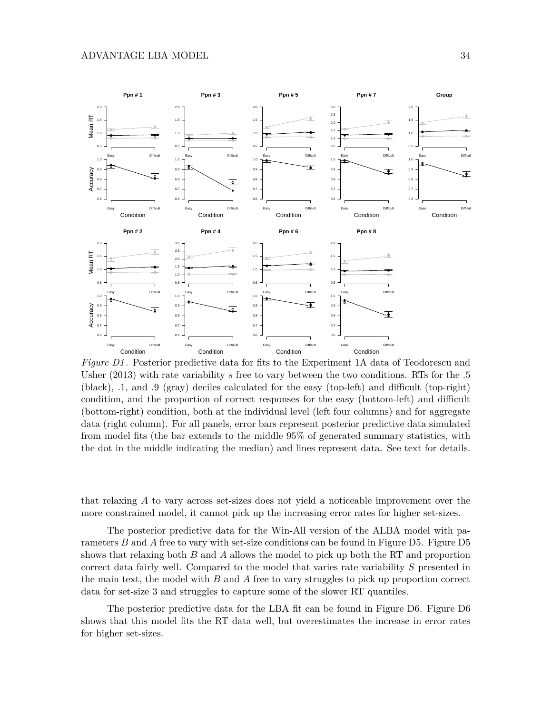

*Figure D1* . Posterior predictive data for fits to the Experiment 1A data of Teodorescu and Usher (2013) with rate variability *s* free to vary between the two conditions. RTs for the .5 (black), .1, and .9 (gray) deciles calculated for the easy (top-left) and difficult (top-right) condition, and the proportion of correct responses for the easy (bottom-left) and difficult (bottom-right) condition, both at the individual level (left four columns) and for aggregate data (right column). For all panels, error bars represent posterior predictive data simulated from model fits (the bar extends to the middle 95% of generated summary statistics, with the dot in the middle indicating the median) and lines represent data. See text for details.

that relaxing *A* to vary across set-sizes does not yield a noticeable improvement over the more constrained model, it cannot pick up the increasing error rates for higher set-sizes.

The posterior predictive data for the Win-All version of the ALBA model with parameters *B* and *A* free to vary with set-size conditions can be found in Figure D5. Figure D5 shows that relaxing both *B* and *A* allows the model to pick up both the RT and proportion correct data fairly well. Compared to the model that varies rate variability *S* presented in the main text, the model with *B* and *A* free to vary struggles to pick up proportion correct data for set-size 3 and struggles to capture some of the slower RT quantiles.

The posterior predictive data for the LBA fit can be found in Figure D6. Figure D6 shows that this model fits the RT data well, but overestimates the increase in error rates for higher set-sizes.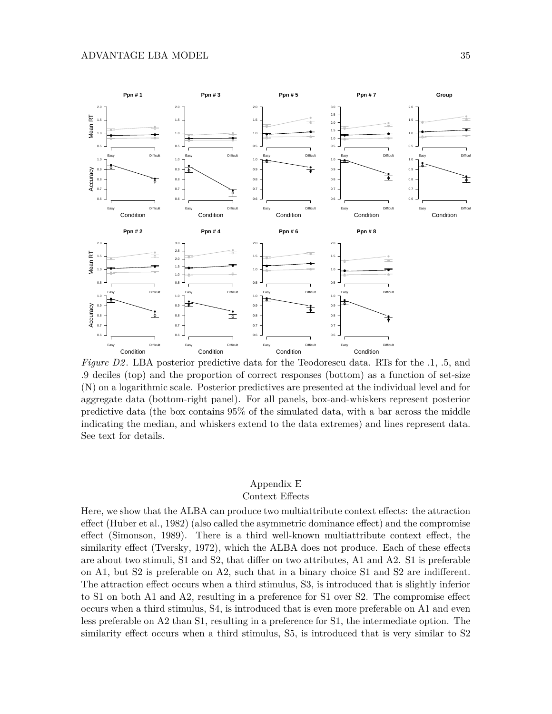

*Figure D2*. LBA posterior predictive data for the Teodorescu data. RTs for the .1, .5, and .9 deciles (top) and the proportion of correct responses (bottom) as a function of set-size (N) on a logarithmic scale. Posterior predictives are presented at the individual level and for aggregate data (bottom-right panel). For all panels, box-and-whiskers represent posterior predictive data (the box contains 95% of the simulated data, with a bar across the middle indicating the median, and whiskers extend to the data extremes) and lines represent data. See text for details.

# Appendix E Context Effects

Here, we show that the ALBA can produce two multiattribute context effects: the attraction effect (Huber et al., 1982) (also called the asymmetric dominance effect) and the compromise effect (Simonson, 1989). There is a third well-known multiattribute context effect, the similarity effect (Tversky, 1972), which the ALBA does not produce. Each of these effects are about two stimuli, S1 and S2, that differ on two attributes, A1 and A2. S1 is preferable on A1, but S2 is preferable on A2, such that in a binary choice S1 and S2 are indifferent. The attraction effect occurs when a third stimulus, S3, is introduced that is slightly inferior to S1 on both A1 and A2, resulting in a preference for S1 over S2. The compromise effect occurs when a third stimulus, S4, is introduced that is even more preferable on A1 and even less preferable on A2 than S1, resulting in a preference for S1, the intermediate option. The similarity effect occurs when a third stimulus, S5, is introduced that is very similar to S2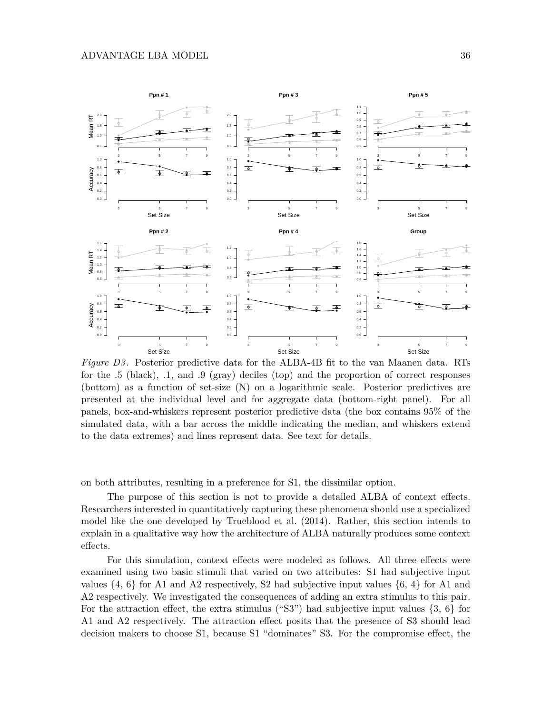

*Figure D3* . Posterior predictive data for the ALBA-4B fit to the van Maanen data. RTs for the .5 (black), .1, and .9 (gray) deciles (top) and the proportion of correct responses (bottom) as a function of set-size (N) on a logarithmic scale. Posterior predictives are presented at the individual level and for aggregate data (bottom-right panel). For all panels, box-and-whiskers represent posterior predictive data (the box contains 95% of the simulated data, with a bar across the middle indicating the median, and whiskers extend to the data extremes) and lines represent data. See text for details.

on both attributes, resulting in a preference for S1, the dissimilar option.

The purpose of this section is not to provide a detailed ALBA of context effects. Researchers interested in quantitatively capturing these phenomena should use a specialized model like the one developed by Trueblood et al. (2014). Rather, this section intends to explain in a qualitative way how the architecture of ALBA naturally produces some context effects.

For this simulation, context effects were modeled as follows. All three effects were examined using two basic stimuli that varied on two attributes: S1 had subjective input values  $\{4, 6\}$  for A1 and A2 respectively, S2 had subjective input values  $\{6, 4\}$  for A1 and A2 respectively. We investigated the consequences of adding an extra stimulus to this pair. For the attraction effect, the extra stimulus ("S3") had subjective input values  $\{3, 6\}$  for A1 and A2 respectively. The attraction effect posits that the presence of S3 should lead decision makers to choose S1, because S1 "dominates" S3. For the compromise effect, the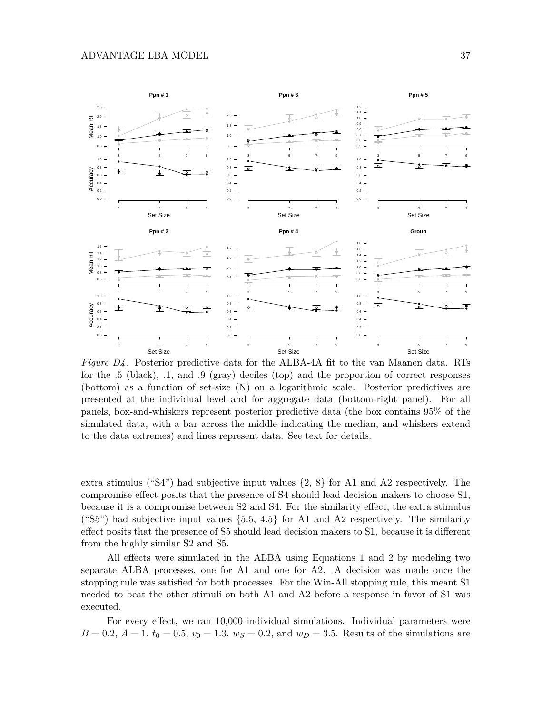

*Figure D4* . Posterior predictive data for the ALBA-4A fit to the van Maanen data. RTs for the .5 (black), .1, and .9 (gray) deciles (top) and the proportion of correct responses (bottom) as a function of set-size (N) on a logarithmic scale. Posterior predictives are presented at the individual level and for aggregate data (bottom-right panel). For all panels, box-and-whiskers represent posterior predictive data (the box contains 95% of the simulated data, with a bar across the middle indicating the median, and whiskers extend to the data extremes) and lines represent data. See text for details.

extra stimulus ("S4") had subjective input values  $\{2, 8\}$  for A1 and A2 respectively. The compromise effect posits that the presence of S4 should lead decision makers to choose S1, because it is a compromise between S2 and S4. For the similarity effect, the extra stimulus ("S5") had subjective input values  $\{5.5, 4.5\}$  for A1 and A2 respectively. The similarity effect posits that the presence of S5 should lead decision makers to S1, because it is different from the highly similar S2 and S5.

All effects were simulated in the ALBA using Equations 1 and 2 by modeling two separate ALBA processes, one for A1 and one for A2. A decision was made once the stopping rule was satisfied for both processes. For the Win-All stopping rule, this meant S1 needed to beat the other stimuli on both A1 and A2 before a response in favor of S1 was executed.

For every effect, we ran 10,000 individual simulations. Individual parameters were  $B = 0.2, A = 1, t_0 = 0.5, v_0 = 1.3, w_S = 0.2, \text{ and } w_D = 3.5.$  Results of the simulations are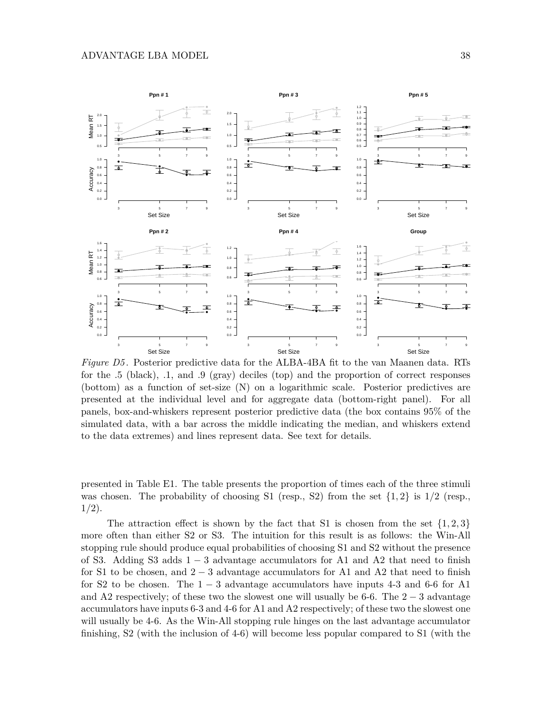

*Figure D5*. Posterior predictive data for the ALBA-4BA fit to the van Maanen data. RTs for the .5 (black), .1, and .9 (gray) deciles (top) and the proportion of correct responses (bottom) as a function of set-size (N) on a logarithmic scale. Posterior predictives are presented at the individual level and for aggregate data (bottom-right panel). For all panels, box-and-whiskers represent posterior predictive data (the box contains 95% of the simulated data, with a bar across the middle indicating the median, and whiskers extend to the data extremes) and lines represent data. See text for details.

presented in Table E1. The table presents the proportion of times each of the three stimuli was chosen. The probability of choosing S1 (resp., S2) from the set  $\{1,2\}$  is  $1/2$  (resp., 1*/*2).

The attraction effect is shown by the fact that S1 is chosen from the set  $\{1, 2, 3\}$ more often than either S2 or S3. The intuition for this result is as follows: the Win-All stopping rule should produce equal probabilities of choosing S1 and S2 without the presence of S3. Adding S3 adds  $1-3$  advantage accumulators for A1 and A2 that need to finish for S1 to be chosen, and  $2-3$  advantage accumulators for A1 and A2 that need to finish for S2 to be chosen. The  $1-3$  advantage accumulators have inputs 4-3 and 6-6 for A1 and A2 respectively; of these two the slowest one will usually be 6-6. The  $2-3$  advantage accumulators have inputs 6-3 and 4-6 for A1 and A2 respectively; of these two the slowest one will usually be 4-6. As the Win-All stopping rule hinges on the last advantage accumulator finishing, S2 (with the inclusion of 4-6) will become less popular compared to S1 (with the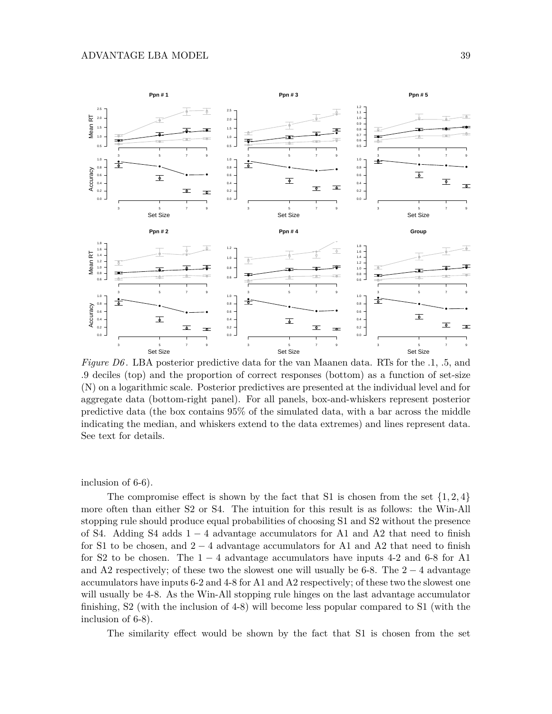

*Figure D6*. LBA posterior predictive data for the van Maanen data. RTs for the .1, .5, and .9 deciles (top) and the proportion of correct responses (bottom) as a function of set-size (N) on a logarithmic scale. Posterior predictives are presented at the individual level and for aggregate data (bottom-right panel). For all panels, box-and-whiskers represent posterior predictive data (the box contains 95% of the simulated data, with a bar across the middle indicating the median, and whiskers extend to the data extremes) and lines represent data. See text for details.

inclusion of 6-6).

The compromise effect is shown by the fact that S1 is chosen from the set  $\{1, 2, 4\}$ more often than either S2 or S4. The intuition for this result is as follows: the Win-All stopping rule should produce equal probabilities of choosing S1 and S2 without the presence of S4. Adding S4 adds  $1 - 4$  advantage accumulators for A1 and A2 that need to finish for S1 to be chosen, and  $2 - 4$  advantage accumulators for A1 and A2 that need to finish for S2 to be chosen. The  $1-4$  advantage accumulators have inputs 4-2 and 6-8 for A1 and A2 respectively; of these two the slowest one will usually be 6-8. The  $2 - 4$  advantage accumulators have inputs 6-2 and 4-8 for A1 and A2 respectively; of these two the slowest one will usually be 4-8. As the Win-All stopping rule hinges on the last advantage accumulator finishing, S2 (with the inclusion of 4-8) will become less popular compared to S1 (with the inclusion of 6-8).

The similarity effect would be shown by the fact that S1 is chosen from the set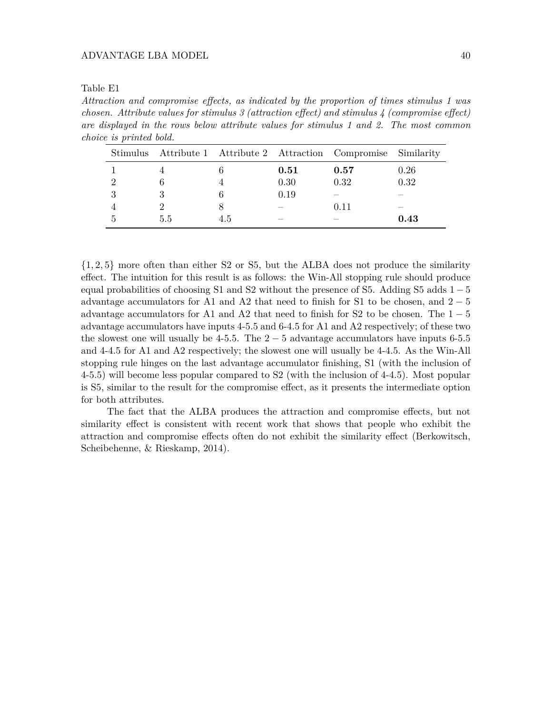| Table E1 |  |
|----------|--|
|----------|--|

*Attraction and compromise effects, as indicated by the proportion of times stimulus 1 was chosen. Attribute values for stimulus 3 (attraction effect) and stimulus 4 (compromise effect) are displayed in the rows below attribute values for stimulus 1 and 2. The most common choice is printed bold.*

|     |     |      | Stimulus Attribute 1 Attribute 2 Attraction Compromise Similarity |      |
|-----|-----|------|-------------------------------------------------------------------|------|
|     |     | 0.51 | 0.57                                                              | 0.26 |
|     |     | 0.30 | 0.32                                                              | 0.32 |
|     |     | 0.19 |                                                                   |      |
|     |     |      | 0.11                                                              |      |
| 5.5 | 4.5 |      |                                                                   | 0.43 |

{1*,* 2*,* 5} more often than either S2 or S5, but the ALBA does not produce the similarity effect. The intuition for this result is as follows: the Win-All stopping rule should produce equal probabilities of choosing S1 and S2 without the presence of S5. Adding S5 adds  $1-5$ advantage accumulators for A1 and A2 that need to finish for S1 to be chosen, and  $2-5$ advantage accumulators for A1 and A2 that need to finish for S2 to be chosen. The  $1-5$ advantage accumulators have inputs 4-5.5 and 6-4.5 for A1 and A2 respectively; of these two the slowest one will usually be 4-5.5. The  $2-5$  advantage accumulators have inputs 6-5.5 and 4-4.5 for A1 and A2 respectively; the slowest one will usually be 4-4.5. As the Win-All stopping rule hinges on the last advantage accumulator finishing, S1 (with the inclusion of 4-5.5) will become less popular compared to S2 (with the inclusion of 4-4.5). Most popular is S5, similar to the result for the compromise effect, as it presents the intermediate option for both attributes.

The fact that the ALBA produces the attraction and compromise effects, but not similarity effect is consistent with recent work that shows that people who exhibit the attraction and compromise effects often do not exhibit the similarity effect (Berkowitsch, Scheibehenne, & Rieskamp, 2014).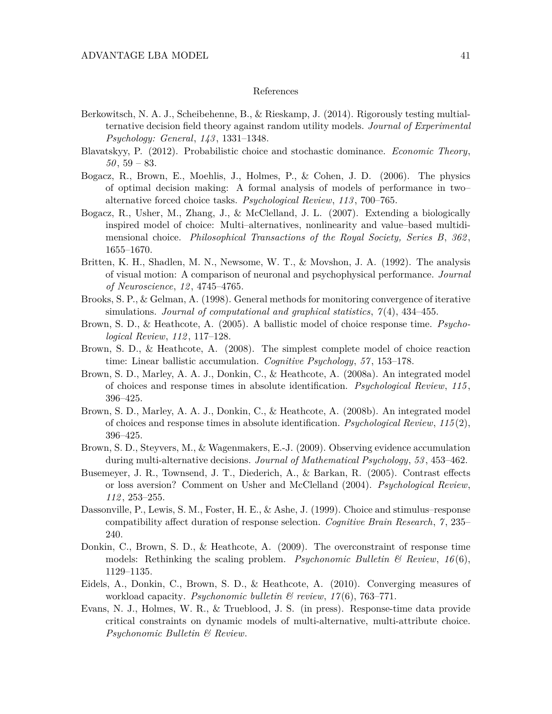#### References

- Berkowitsch, N. A. J., Scheibehenne, B., & Rieskamp, J. (2014). Rigorously testing multialternative decision field theory against random utility models. *Journal of Experimental Psychology: General*, *143* , 1331–1348.
- Blavatskyy, P. (2012). Probabilistic choice and stochastic dominance. *Economic Theory*, *50* , 59 – 83.
- Bogacz, R., Brown, E., Moehlis, J., Holmes, P., & Cohen, J. D. (2006). The physics of optimal decision making: A formal analysis of models of performance in two– alternative forced choice tasks. *Psychological Review*, *113* , 700–765.
- Bogacz, R., Usher, M., Zhang, J., & McClelland, J. L. (2007). Extending a biologically inspired model of choice: Multi–alternatives, nonlinearity and value–based multidimensional choice. *Philosophical Transactions of the Royal Society, Series B*, *362* , 1655–1670.
- Britten, K. H., Shadlen, M. N., Newsome, W. T., & Movshon, J. A. (1992). The analysis of visual motion: A comparison of neuronal and psychophysical performance. *Journal of Neuroscience*, *12* , 4745–4765.
- Brooks, S. P., & Gelman, A. (1998). General methods for monitoring convergence of iterative simulations. *Journal of computational and graphical statistics*, *7* (4), 434–455.
- Brown, S. D., & Heathcote, A. (2005). A ballistic model of choice response time. *Psychological Review*, *112* , 117–128.
- Brown, S. D., & Heathcote, A. (2008). The simplest complete model of choice reaction time: Linear ballistic accumulation. *Cognitive Psychology*, *57* , 153–178.
- Brown, S. D., Marley, A. A. J., Donkin, C., & Heathcote, A. (2008a). An integrated model of choices and response times in absolute identification. *Psychological Review*, *115* , 396–425.
- Brown, S. D., Marley, A. A. J., Donkin, C., & Heathcote, A. (2008b). An integrated model of choices and response times in absolute identification. *Psychological Review*, *115* (2), 396–425.
- Brown, S. D., Steyvers, M., & Wagenmakers, E.-J. (2009). Observing evidence accumulation during multi-alternative decisions. *Journal of Mathematical Psychology*, *53* , 453–462.
- Busemeyer, J. R., Townsend, J. T., Diederich, A., & Barkan, R. (2005). Contrast effects or loss aversion? Comment on Usher and McClelland (2004). *Psychological Review*, *112* , 253–255.
- Dassonville, P., Lewis, S. M., Foster, H. E., & Ashe, J. (1999). Choice and stimulus–response compatibility affect duration of response selection. *Cognitive Brain Research*, *7* , 235– 240.
- Donkin, C., Brown, S. D., & Heathcote, A. (2009). The overconstraint of response time models: Rethinking the scaling problem. *Psychonomic Bulletin & Review*, *16* (6), 1129–1135.
- Eidels, A., Donkin, C., Brown, S. D., & Heathcote, A. (2010). Converging measures of workload capacity. *Psychonomic bulletin & review*, *17* (6), 763–771.
- Evans, N. J., Holmes, W. R., & Trueblood, J. S. (in press). Response-time data provide critical constraints on dynamic models of multi-alternative, multi-attribute choice. *Psychonomic Bulletin & Review*.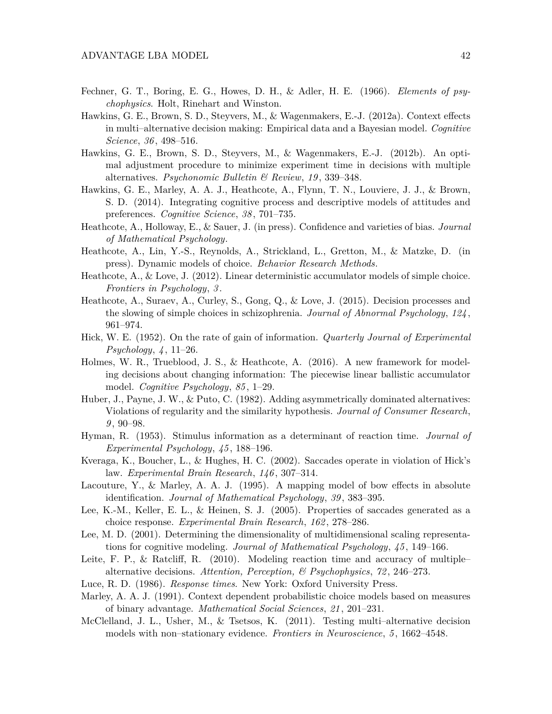- Fechner, G. T., Boring, E. G., Howes, D. H., & Adler, H. E. (1966). *Elements of psychophysics*. Holt, Rinehart and Winston.
- Hawkins, G. E., Brown, S. D., Steyvers, M., & Wagenmakers, E.-J. (2012a). Context effects in multi–alternative decision making: Empirical data and a Bayesian model. *Cognitive Science*, *36* , 498–516.
- Hawkins, G. E., Brown, S. D., Steyvers, M., & Wagenmakers, E.-J. (2012b). An optimal adjustment procedure to minimize experiment time in decisions with multiple alternatives. *Psychonomic Bulletin & Review*, *19* , 339–348.
- Hawkins, G. E., Marley, A. A. J., Heathcote, A., Flynn, T. N., Louviere, J. J., & Brown, S. D. (2014). Integrating cognitive process and descriptive models of attitudes and preferences. *Cognitive Science*, *38* , 701–735.
- Heathcote, A., Holloway, E., & Sauer, J. (in press). Confidence and varieties of bias. *Journal of Mathematical Psychology*.
- Heathcote, A., Lin, Y.-S., Reynolds, A., Strickland, L., Gretton, M., & Matzke, D. (in press). Dynamic models of choice. *Behavior Research Methods*.
- Heathcote, A., & Love, J. (2012). Linear deterministic accumulator models of simple choice. *Frontiers in Psychology*, *3* .
- Heathcote, A., Suraev, A., Curley, S., Gong, Q., & Love, J. (2015). Decision processes and the slowing of simple choices in schizophrenia. *Journal of Abnormal Psychology*, *124* , 961–974.
- Hick, W. E. (1952). On the rate of gain of information. *Quarterly Journal of Experimental Psychology*, *4* , 11–26.
- Holmes, W. R., Trueblood, J. S., & Heathcote, A. (2016). A new framework for modeling decisions about changing information: The piecewise linear ballistic accumulator model. *Cognitive Psychology*, *85* , 1–29.
- Huber, J., Payne, J. W., & Puto, C. (1982). Adding asymmetrically dominated alternatives: Violations of regularity and the similarity hypothesis. *Journal of Consumer Research*, *9* , 90–98.
- Hyman, R. (1953). Stimulus information as a determinant of reaction time. *Journal of Experimental Psychology*, *45* , 188–196.
- Kveraga, K., Boucher, L., & Hughes, H. C. (2002). Saccades operate in violation of Hick's law. *Experimental Brain Research*, *146* , 307–314.
- Lacouture, Y., & Marley, A. A. J. (1995). A mapping model of bow effects in absolute identification. *Journal of Mathematical Psychology*, *39* , 383–395.
- Lee, K.-M., Keller, E. L., & Heinen, S. J. (2005). Properties of saccades generated as a choice response. *Experimental Brain Research*, *162* , 278–286.
- Lee, M. D. (2001). Determining the dimensionality of multidimensional scaling representations for cognitive modeling. *Journal of Mathematical Psychology*, *45* , 149–166.
- Leite, F. P., & Ratcliff, R. (2010). Modeling reaction time and accuracy of multiple– alternative decisions. *Attention, Perception, & Psychophysics*, *72* , 246–273.
- Luce, R. D. (1986). *Response times*. New York: Oxford University Press.
- Marley, A. A. J. (1991). Context dependent probabilistic choice models based on measures of binary advantage. *Mathematical Social Sciences*, *21* , 201–231.
- McClelland, J. L., Usher, M., & Tsetsos, K. (2011). Testing multi–alternative decision models with non–stationary evidence. *Frontiers in Neuroscience*, *5* , 1662–4548.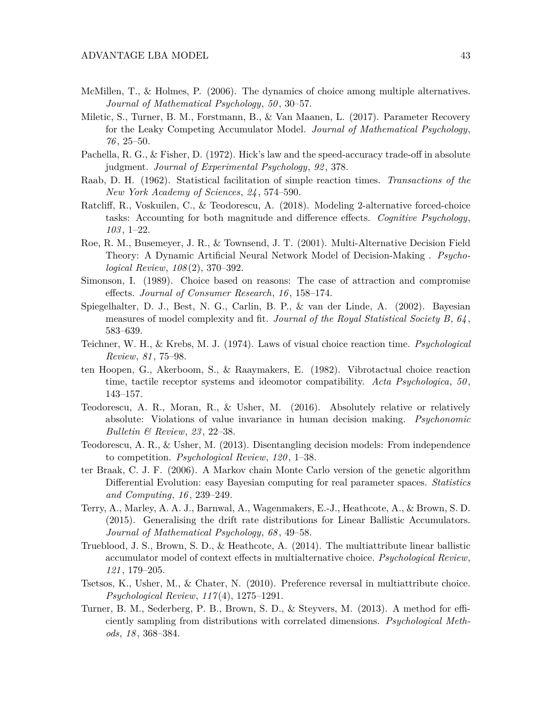- McMillen, T., & Holmes, P. (2006). The dynamics of choice among multiple alternatives. *Journal of Mathematical Psychology*, *50* , 30–57.
- Miletic, S., Turner, B. M., Forstmann, B., & Van Maanen, L. (2017). Parameter Recovery for the Leaky Competing Accumulator Model. *Journal of Mathematical Psychology*, *76* , 25–50.
- Pachella, R. G., & Fisher, D. (1972). Hick's law and the speed-accuracy trade-off in absolute judgment. *Journal of Experimental Psychology*, *92* , 378.
- Raab, D. H. (1962). Statistical facilitation of simple reaction times. *Transactions of the New York Academy of Sciences*, *24* , 574–590.
- Ratcliff, R., Voskuilen, C., & Teodorescu, A. (2018). Modeling 2-alternative forced-choice tasks: Accounting for both magnitude and difference effects. *Cognitive Psychology*, *103* , 1–22.
- Roe, R. M., Busemeyer, J. R., & Townsend, J. T. (2001). Multi-Alternative Decision Field Theory: A Dynamic Artificial Neural Network Model of Decision-Making . *Psychological Review*, *108* (2), 370–392.
- Simonson, I. (1989). Choice based on reasons: The case of attraction and compromise effects. *Journal of Consumer Research*, *16* , 158–174.
- Spiegelhalter, D. J., Best, N. G., Carlin, B. P., & van der Linde, A. (2002). Bayesian measures of model complexity and fit. *Journal of the Royal Statistical Society B*, *64* , 583–639.
- Teichner, W. H., & Krebs, M. J. (1974). Laws of visual choice reaction time. *Psychological Review*, *81* , 75–98.
- ten Hoopen, G., Akerboom, S., & Raaymakers, E. (1982). Vibrotactual choice reaction time, tactile receptor systems and ideomotor compatibility. *Acta Psychologica*, *50* , 143–157.
- Teodorescu, A. R., Moran, R., & Usher, M. (2016). Absolutely relative or relatively absolute: Violations of value invariance in human decision making. *Psychonomic Bulletin & Review*, *23* , 22–38.
- Teodorescu, A. R., & Usher, M. (2013). Disentangling decision models: From independence to competition. *Psychological Review*, *120* , 1–38.
- ter Braak, C. J. F. (2006). A Markov chain Monte Carlo version of the genetic algorithm Differential Evolution: easy Bayesian computing for real parameter spaces. *Statistics and Computing*, *16* , 239–249.
- Terry, A., Marley, A. A. J., Barnwal, A., Wagenmakers, E.-J., Heathcote, A., & Brown, S. D. (2015). Generalising the drift rate distributions for Linear Ballistic Accumulators. *Journal of Mathematical Psychology*, *68* , 49–58.
- Trueblood, J. S., Brown, S. D., & Heathcote, A. (2014). The multiattribute linear ballistic accumulator model of context effects in multialternative choice. *Psychological Review*, *121* , 179–205.
- Tsetsos, K., Usher, M., & Chater, N. (2010). Preference reversal in multiattribute choice. *Psychological Review*, *117* (4), 1275–1291.
- Turner, B. M., Sederberg, P. B., Brown, S. D., & Steyvers, M. (2013). A method for efficiently sampling from distributions with correlated dimensions. *Psychological Methods*, *18* , 368–384.